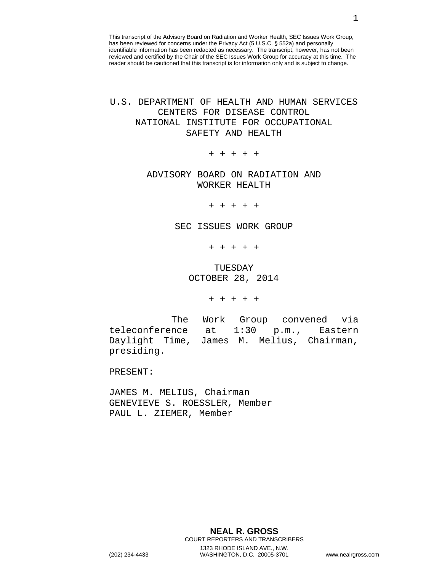This transcript of the Advisory Board on Radiation and Worker Health, SEC Issues Work Group, has been reviewed for concerns under the Privacy Act (5 U.S.C. § 552a) and personally identifiable information has been redacted as necessary. The transcript, however, has not been reviewed and certified by the Chair of the SEC Issues Work Group for accuracy at this time. The reader should be cautioned that this transcript is for information only and is subject to change.

## U.S. DEPARTMENT OF HEALTH AND HUMAN SERVICES CENTERS FOR DISEASE CONTROL NATIONAL INSTITUTE FOR OCCUPATIONAL SAFETY AND HEALTH

+ + + + +

## ADVISORY BOARD ON RADIATION AND WORKER HEALTH

+ + + + +

## SEC ISSUES WORK GROUP

+ + + + +

## TUESDAY OCTOBER 28, 2014

+ + + + +

The Work Group convened via teleconference at 1:30 p.m., Eastern<br>Daylight Time, James M. Melius, Chairman, James M. Melius, Chairman, presiding.

PRESENT:

JAMES M. MELIUS, Chairman GENEVIEVE S. ROESSLER, Member PAUL L. ZIEMER, Member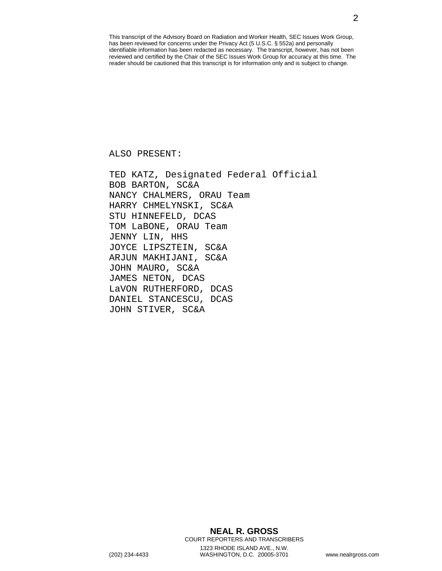This transcript of the Advisory Board on Radiation and Worker Health, SEC Issues Work Group, has been reviewed for concerns under the Privacy Act (5 U.S.C. § 552a) and personally identifiable information has been redacted as necessary. The transcript, however, has not been reviewed and certified by the Chair of the SEC Issues Work Group for accuracy at this time. The reader should be cautioned that this transcript is for information only and is subject to change.

ALSO PRESENT:

TED KATZ, Designated Federal Official BOB BARTON, SC&A NANCY CHALMERS, ORAU Team HARRY CHMELYNSKI, SC&A STU HINNEFELD, DCAS TOM LaBONE, ORAU Team JENNY LIN, HHS JOYCE LIPSZTEIN, SC&A ARJUN MAKHIJANI, SC&A JOHN MAURO, SC&A JAMES NETON, DCAS LaVON RUTHERFORD, DCAS DANIEL STANCESCU, DCAS JOHN STIVER, SC&A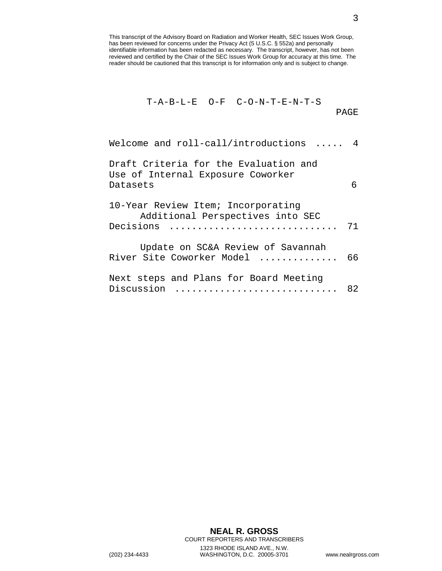This transcript of the Advisory Board on Radiation and Worker Health, SEC Issues Work Group, has been reviewed for concerns under the Privacy Act (5 U.S.C. § 552a) and personally identifiable information has been redacted as necessary. The transcript, however, has not been reviewed and certified by the Chair of the SEC Issues Work Group for accuracy at this time. The reader should be cautioned that this transcript is for information only and is subject to change.

$$
T-A-B-L-E O-F C-O-N-T-E-N-T-S
$$
 
$$
PAGE
$$

| Welcome and roll-call/introductions  4                                                 |    |
|----------------------------------------------------------------------------------------|----|
| Draft Criteria for the Evaluation and<br>Use of Internal Exposure Coworker<br>Datasets | 6  |
| 10-Year Review Item; Incorporating<br>Additional Perspectives into SEC<br>Decisions    | 71 |
| Update on SC&A Review of Savannah<br>River Site Coworker Model                         | 66 |
| Next steps and Plans for Board Meeting<br>Discussion                                   | 82 |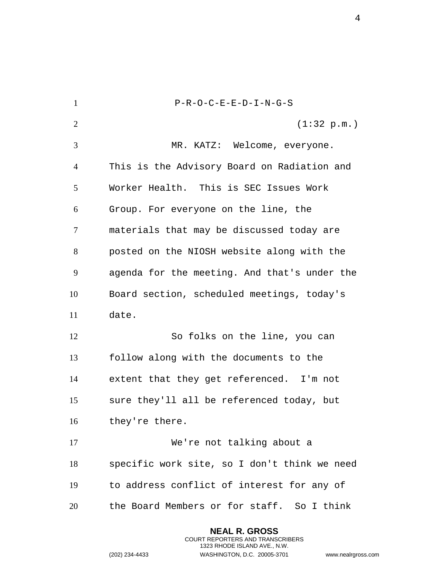P-R-O-C-E-E-D-I-N-G-S  $(1:32 \text{ p.m.})$  MR. KATZ: Welcome, everyone. This is the Advisory Board on Radiation and Worker Health. This is SEC Issues Work Group. For everyone on the line, the materials that may be discussed today are posted on the NIOSH website along with the agenda for the meeting. And that's under the Board section, scheduled meetings, today's date. So folks on the line, you can follow along with the documents to the extent that they get referenced. I'm not sure they'll all be referenced today, but they're there. We're not talking about a specific work site, so I don't think we need to address conflict of interest for any of the Board Members or for staff. So I think

> **NEAL R. GROSS** COURT REPORTERS AND TRANSCRIBERS 1323 RHODE ISLAND AVE., N.W.

(202) 234-4433 WASHINGTON, D.C. 20005-3701 www.nealrgross.com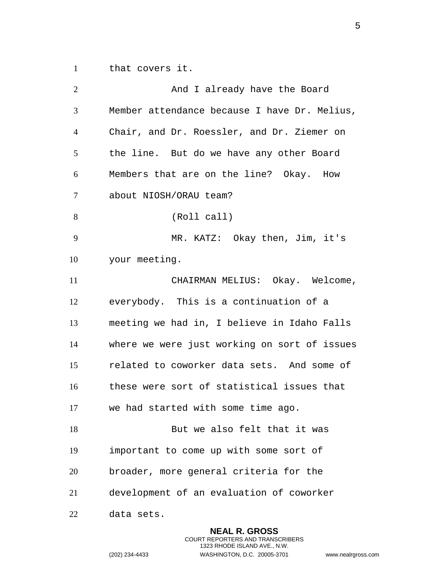that covers it.

| $\overline{2}$ | And I already have the Board                 |
|----------------|----------------------------------------------|
| 3              | Member attendance because I have Dr. Melius, |
| $\overline{4}$ | Chair, and Dr. Roessler, and Dr. Ziemer on   |
| 5              | the line. But do we have any other Board     |
| 6              | Members that are on the line? Okay. How      |
| 7              | about NIOSH/ORAU team?                       |
| 8              | (Roll call)                                  |
| 9              | MR. KATZ: Okay then, Jim, it's               |
| 10             | your meeting.                                |
| 11             | CHAIRMAN MELIUS: Okay. Welcome,              |
| 12             | everybody. This is a continuation of a       |
| 13             | meeting we had in, I believe in Idaho Falls  |
| 14             | where we were just working on sort of issues |
| 15             | related to coworker data sets. And some of   |
| 16             | these were sort of statistical issues that   |
| 17             | we had started with some time ago.           |
| 18             | But we also felt that it was                 |
| 19             | important to come up with some sort of       |
| 20             | broader, more general criteria for the       |
| 21             | development of an evaluation of coworker     |
| 22             | data sets.                                   |

**NEAL R. GROSS** COURT REPORTERS AND TRANSCRIBERS 1323 RHODE ISLAND AVE., N.W.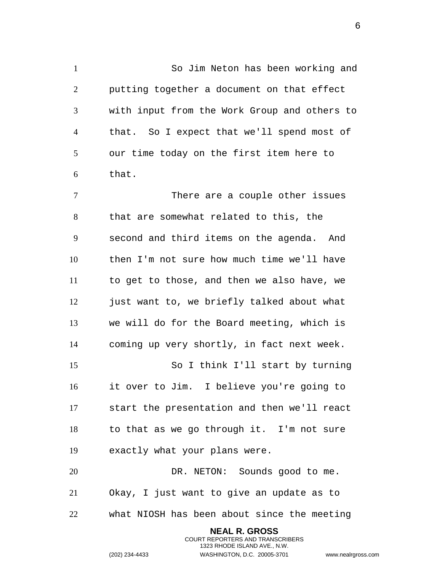So Jim Neton has been working and putting together a document on that effect with input from the Work Group and others to that. So I expect that we'll spend most of our time today on the first item here to that.

 There are a couple other issues that are somewhat related to this, the second and third items on the agenda. And then I'm not sure how much time we'll have to get to those, and then we also have, we just want to, we briefly talked about what we will do for the Board meeting, which is coming up very shortly, in fact next week. So I think I'll start by turning it over to Jim. I believe you're going to start the presentation and then we'll react to that as we go through it. I'm not sure exactly what your plans were.

 DR. NETON: Sounds good to me. Okay, I just want to give an update as to what NIOSH has been about since the meeting

> **NEAL R. GROSS** COURT REPORTERS AND TRANSCRIBERS 1323 RHODE ISLAND AVE., N.W.

(202) 234-4433 WASHINGTON, D.C. 20005-3701 www.nealrgross.com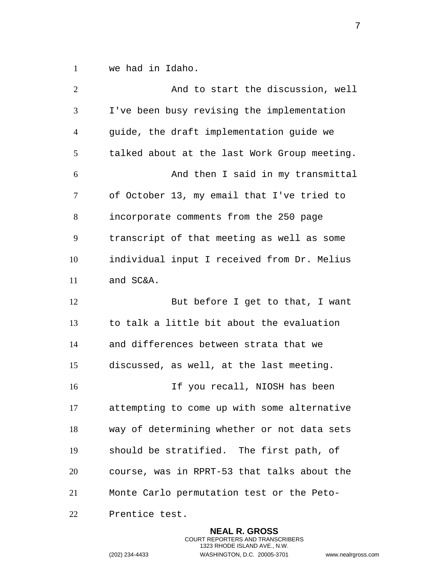we had in Idaho.

| $\overline{2}$ | And to start the discussion, well            |
|----------------|----------------------------------------------|
| 3              | I've been busy revising the implementation   |
| $\overline{4}$ | guide, the draft implementation guide we     |
| 5              | talked about at the last Work Group meeting. |
| 6              | And then I said in my transmittal            |
| $\tau$         | of October 13, my email that I've tried to   |
| 8              | incorporate comments from the 250 page       |
| 9              | transcript of that meeting as well as some   |
| 10             | individual input I received from Dr. Melius  |
| 11             | and SC&A.                                    |
| 12             | But before I get to that, I want             |
| 13             | to talk a little bit about the evaluation    |
| 14             | and differences between strata that we       |
| 15             | discussed, as well, at the last meeting.     |
| 16             | If you recall, NIOSH has been                |
| 17             | attempting to come up with some alternative  |
| 18             | way of determining whether or not data sets  |
| 19             | should be stratified. The first path, of     |
| 20             | course, was in RPRT-53 that talks about the  |
| 21             | Monte Carlo permutation test or the Peto-    |
| 22             | Prentice test.                               |

**NEAL R. GROSS** COURT REPORTERS AND TRANSCRIBERS 1323 RHODE ISLAND AVE., N.W.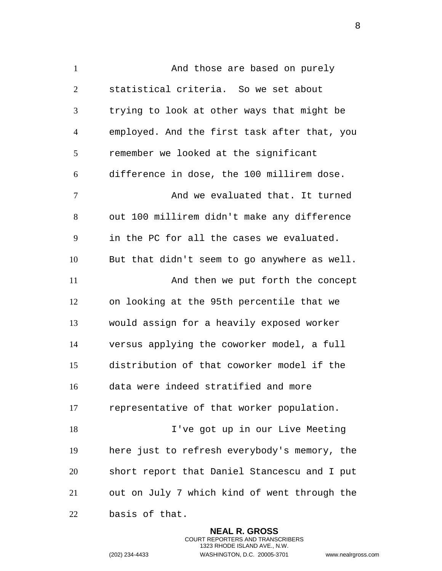1 And those are based on purely statistical criteria. So we set about trying to look at other ways that might be employed. And the first task after that, you remember we looked at the significant difference in dose, the 100 millirem dose. And we evaluated that. It turned out 100 millirem didn't make any difference in the PC for all the cases we evaluated. But that didn't seem to go anywhere as well. 11 And then we put forth the concept on looking at the 95th percentile that we would assign for a heavily exposed worker versus applying the coworker model, a full distribution of that coworker model if the data were indeed stratified and more representative of that worker population. I've got up in our Live Meeting here just to refresh everybody's memory, the short report that Daniel Stancescu and I put out on July 7 which kind of went through the basis of that.

> **NEAL R. GROSS** COURT REPORTERS AND TRANSCRIBERS 1323 RHODE ISLAND AVE., N.W.

(202) 234-4433 WASHINGTON, D.C. 20005-3701 www.nealrgross.com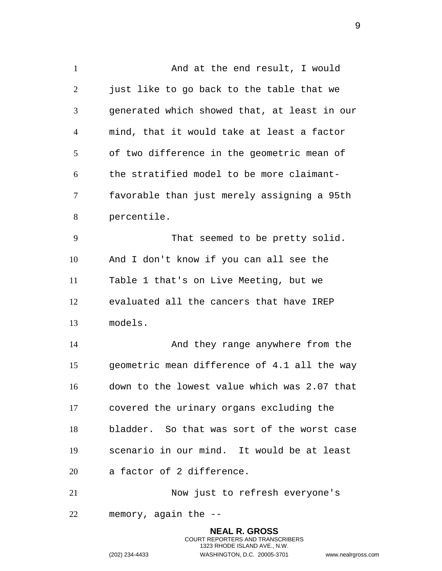1 And at the end result, I would 2 just like to go back to the table that we generated which showed that, at least in our mind, that it would take at least a factor of two difference in the geometric mean of the stratified model to be more claimant- favorable than just merely assigning a 95th percentile. That seemed to be pretty solid. And I don't know if you can all see the Table 1 that's on Live Meeting, but we evaluated all the cancers that have IREP models. 14 And they range anywhere from the geometric mean difference of 4.1 all the way down to the lowest value which was 2.07 that covered the urinary organs excluding the bladder. So that was sort of the worst case scenario in our mind. It would be at least a factor of 2 difference. Now just to refresh everyone's memory, again the -- **NEAL R. GROSS**

> COURT REPORTERS AND TRANSCRIBERS 1323 RHODE ISLAND AVE., N.W.

(202) 234-4433 WASHINGTON, D.C. 20005-3701 www.nealrgross.com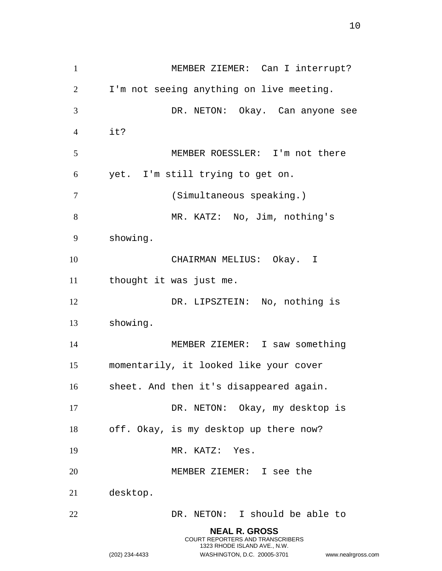MEMBER ZIEMER: Can I interrupt? I'm not seeing anything on live meeting. DR. NETON: Okay. Can anyone see it? MEMBER ROESSLER: I'm not there yet. I'm still trying to get on. (Simultaneous speaking.) MR. KATZ: No, Jim, nothing's showing. CHAIRMAN MELIUS: Okay. I thought it was just me. 12 DR. LIPSZTEIN: No, nothing is showing. MEMBER ZIEMER: I saw something momentarily, it looked like your cover sheet. And then it's disappeared again. DR. NETON: Okay, my desktop is off. Okay, is my desktop up there now? 19 MR. KATZ: Yes. MEMBER ZIEMER: I see the desktop. DR. NETON: I should be able to **NEAL R. GROSS** COURT REPORTERS AND TRANSCRIBERS 1323 RHODE ISLAND AVE., N.W.

(202) 234-4433 WASHINGTON, D.C. 20005-3701 www.nealrgross.com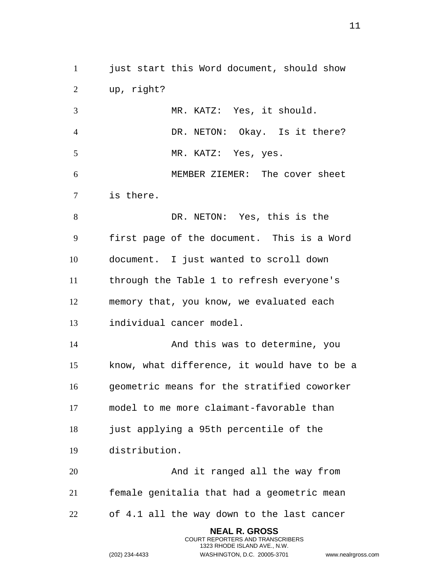just start this Word document, should show up, right?

 MR. KATZ: Yes, it should. DR. NETON: Okay. Is it there? MR. KATZ: Yes, yes. MEMBER ZIEMER: The cover sheet is there. DR. NETON: Yes, this is the first page of the document. This is a Word document. I just wanted to scroll down through the Table 1 to refresh everyone's memory that, you know, we evaluated each

individual cancer model.

 And this was to determine, you know, what difference, it would have to be a geometric means for the stratified coworker model to me more claimant-favorable than just applying a 95th percentile of the distribution.

 And it ranged all the way from female genitalia that had a geometric mean of 4.1 all the way down to the last cancer

> **NEAL R. GROSS** COURT REPORTERS AND TRANSCRIBERS 1323 RHODE ISLAND AVE., N.W.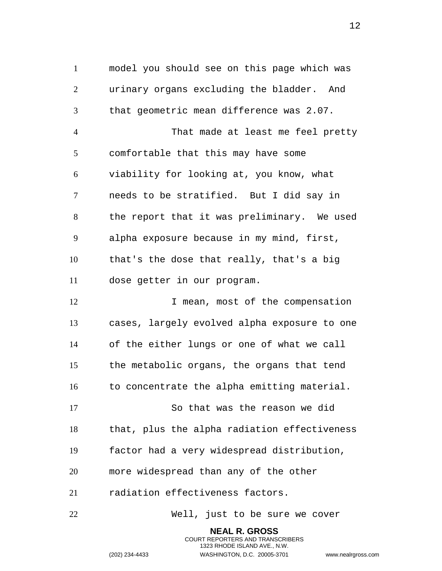model you should see on this page which was urinary organs excluding the bladder. And that geometric mean difference was 2.07. That made at least me feel pretty comfortable that this may have some viability for looking at, you know, what needs to be stratified. But I did say in the report that it was preliminary. We used alpha exposure because in my mind, first, that's the dose that really, that's a big dose getter in our program. 12 12 I mean, most of the compensation cases, largely evolved alpha exposure to one of the either lungs or one of what we call the metabolic organs, the organs that tend 16 to concentrate the alpha emitting material. So that was the reason we did that, plus the alpha radiation effectiveness factor had a very widespread distribution, more widespread than any of the other radiation effectiveness factors.

Well, just to be sure we cover

**NEAL R. GROSS** COURT REPORTERS AND TRANSCRIBERS 1323 RHODE ISLAND AVE., N.W.

(202) 234-4433 WASHINGTON, D.C. 20005-3701 www.nealrgross.com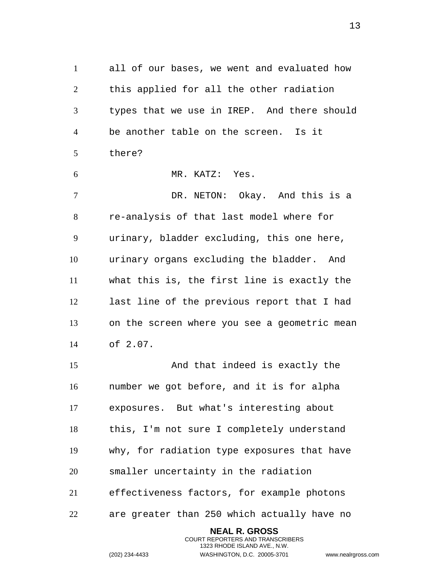all of our bases, we went and evaluated how this applied for all the other radiation types that we use in IREP. And there should be another table on the screen. Is it there?

 MR. KATZ: Yes. DR. NETON: Okay. And this is a re-analysis of that last model where for urinary, bladder excluding, this one here, urinary organs excluding the bladder. And what this is, the first line is exactly the last line of the previous report that I had on the screen where you see a geometric mean of 2.07.

 And that indeed is exactly the number we got before, and it is for alpha exposures. But what's interesting about this, I'm not sure I completely understand why, for radiation type exposures that have smaller uncertainty in the radiation effectiveness factors, for example photons are greater than 250 which actually have no

> **NEAL R. GROSS** COURT REPORTERS AND TRANSCRIBERS 1323 RHODE ISLAND AVE., N.W.

(202) 234-4433 WASHINGTON, D.C. 20005-3701 www.nealrgross.com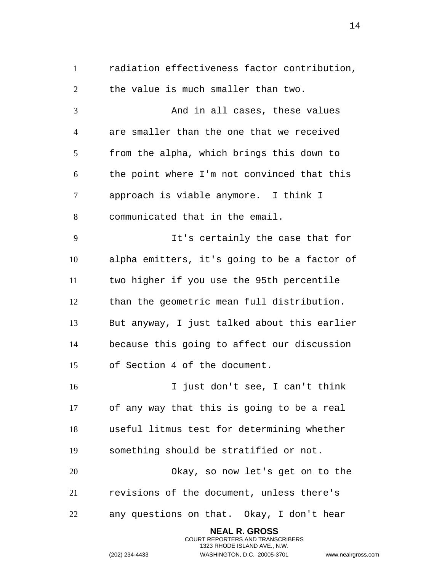radiation effectiveness factor contribution, the value is much smaller than two.

3 And in all cases, these values are smaller than the one that we received from the alpha, which brings this down to the point where I'm not convinced that this approach is viable anymore. I think I communicated that in the email.

 It's certainly the case that for alpha emitters, it's going to be a factor of two higher if you use the 95th percentile than the geometric mean full distribution. But anyway, I just talked about this earlier because this going to affect our discussion of Section 4 of the document.

 I just don't see, I can't think of any way that this is going to be a real useful litmus test for determining whether something should be stratified or not. Okay, so now let's get on to the revisions of the document, unless there's any questions on that. Okay, I don't hear

> **NEAL R. GROSS** COURT REPORTERS AND TRANSCRIBERS 1323 RHODE ISLAND AVE., N.W.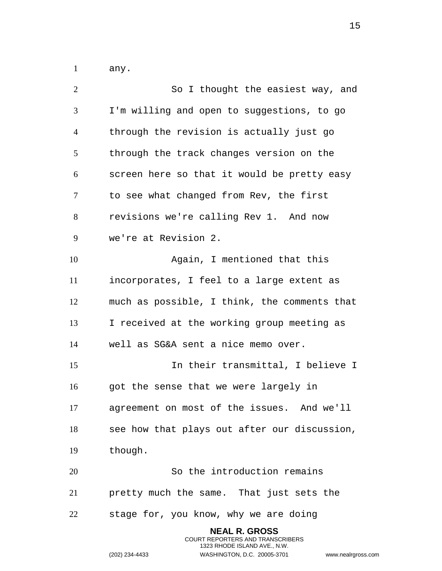any.

| $\overline{2}$ | So I thought the easiest way, and            |
|----------------|----------------------------------------------|
| 3              | I'm willing and open to suggestions, to go   |
| $\overline{4}$ | through the revision is actually just go     |
| 5              | through the track changes version on the     |
| 6              | screen here so that it would be pretty easy  |
| 7              | to see what changed from Rev, the first      |
| 8              | revisions we're calling Rev 1. And now       |
| 9              | we're at Revision 2.                         |
| 10             | Again, I mentioned that this                 |
| 11             | incorporates, I feel to a large extent as    |
| 12             | much as possible, I think, the comments that |
| 13             | I received at the working group meeting as   |
| 14             | well as SG&A sent a nice memo over.          |
| 15             | In their transmittal, I believe I            |
| 16             | got the sense that we were largely in        |
| 17             | agreement on most of the issues. And we'll   |
| 18             | see how that plays out after our discussion, |
| 19             | though.                                      |
| 20             | So the introduction remains                  |
| 21             | pretty much the same. That just sets the     |
| 22             | stage for, you know, why we are doing        |
|                | <b>NEAL R. GROSS</b>                         |

COURT REPORTERS AND TRANSCRIBERS 1323 RHODE ISLAND AVE., N.W.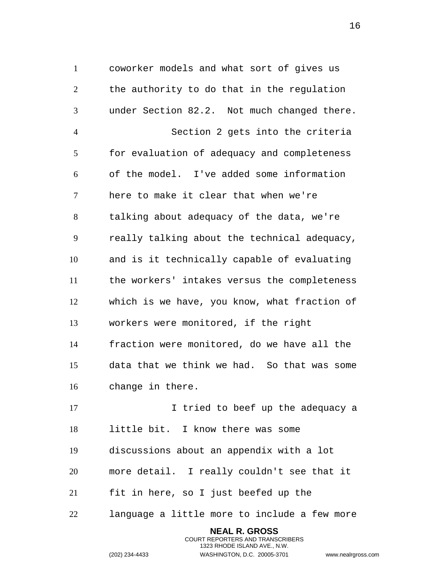coworker models and what sort of gives us the authority to do that in the regulation under Section 82.2. Not much changed there. Section 2 gets into the criteria for evaluation of adequacy and completeness of the model. I've added some information here to make it clear that when we're talking about adequacy of the data, we're really talking about the technical adequacy, and is it technically capable of evaluating the workers' intakes versus the completeness which is we have, you know, what fraction of workers were monitored, if the right fraction were monitored, do we have all the data that we think we had. So that was some change in there.

17 17 I tried to beef up the adequacy a little bit. I know there was some discussions about an appendix with a lot more detail. I really couldn't see that it fit in here, so I just beefed up the language a little more to include a few more

> **NEAL R. GROSS** COURT REPORTERS AND TRANSCRIBERS 1323 RHODE ISLAND AVE., N.W.

(202) 234-4433 WASHINGTON, D.C. 20005-3701 www.nealrgross.com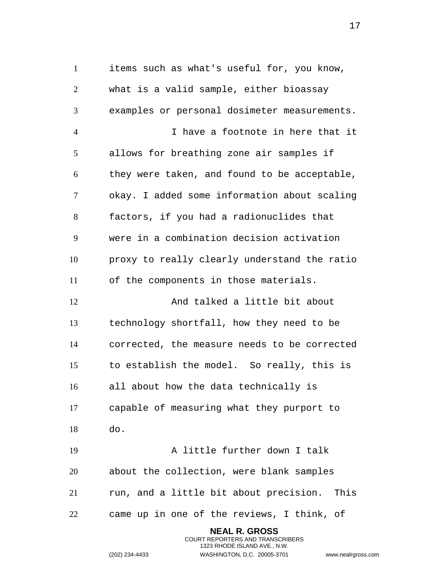items such as what's useful for, you know, what is a valid sample, either bioassay examples or personal dosimeter measurements. I have a footnote in here that it allows for breathing zone air samples if they were taken, and found to be acceptable, okay. I added some information about scaling factors, if you had a radionuclides that were in a combination decision activation proxy to really clearly understand the ratio of the components in those materials. 12 And talked a little bit about technology shortfall, how they need to be corrected, the measure needs to be corrected to establish the model. So really, this is all about how the data technically is capable of measuring what they purport to do. A little further down I talk about the collection, were blank samples run, and a little bit about precision. This came up in one of the reviews, I think, of

> **NEAL R. GROSS** COURT REPORTERS AND TRANSCRIBERS 1323 RHODE ISLAND AVE., N.W.

(202) 234-4433 WASHINGTON, D.C. 20005-3701 www.nealrgross.com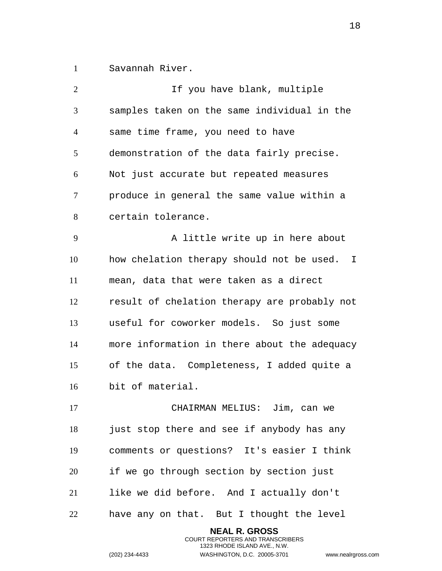Savannah River.

| $\overline{2}$ | If you have blank, multiple                  |
|----------------|----------------------------------------------|
| 3              | samples taken on the same individual in the  |
| $\overline{4}$ | same time frame, you need to have            |
| 5              | demonstration of the data fairly precise.    |
| 6              | Not just accurate but repeated measures      |
| 7              | produce in general the same value within a   |
| 8              | certain tolerance.                           |
| 9              | A little write up in here about              |
| 10             | how chelation therapy should not be used. I  |
| 11             | mean, data that were taken as a direct       |
| 12             | result of chelation therapy are probably not |
| 13             | useful for coworker models. So just some     |
| 14             | more information in there about the adequacy |
| 15             | of the data. Completeness, I added quite a   |
| 16             | bit of material.                             |
| 17             | CHAIRMAN MELIUS: Jim, can we                 |
| 18             | just stop there and see if anybody has any   |
| 19             | comments or questions? It's easier I think   |
| 20             | if we go through section by section just     |
| 21             | like we did before. And I actually don't     |
| 22             | have any on that. But I thought the level    |
|                | <b>NEAL R. GROSS</b>                         |

COURT REPORTERS AND TRANSCRIBERS 1323 RHODE ISLAND AVE., N.W.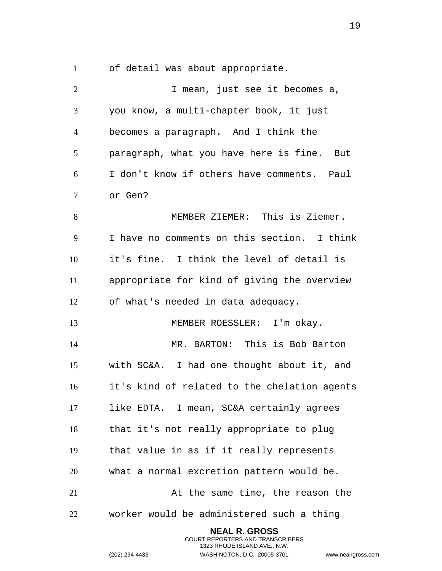of detail was about appropriate.

| $\overline{2}$ | I mean, just see it becomes a,               |
|----------------|----------------------------------------------|
| 3              | you know, a multi-chapter book, it just      |
| $\overline{4}$ | becomes a paragraph. And I think the         |
| 5              | paragraph, what you have here is fine. But   |
| 6              | I don't know if others have comments. Paul   |
| 7              | or Gen?                                      |
| 8              | MEMBER ZIEMER: This is Ziemer.               |
| 9              | I have no comments on this section. I think  |
| 10             | it's fine. I think the level of detail is    |
| 11             | appropriate for kind of giving the overview  |
| 12             | of what's needed in data adequacy.           |
| 13             | MEMBER ROESSLER: I'm okay.                   |
| 14             | MR. BARTON: This is Bob Barton               |
| 15             | with SC&A. I had one thought about it, and   |
| 16             | it's kind of related to the chelation agents |
| 17             | like EDTA. I mean, SC&A certainly agrees     |
| 18             | that it's not really appropriate to plug     |
| 19             | that value in as if it really represents     |
| 20             | what a normal excretion pattern would be.    |
| 21             | At the same time, the reason the             |
| 22             | worker would be administered such a thing    |
|                | <b>NEAL R. GROSS</b>                         |

COURT REPORTERS AND TRANSCRIBERS 1323 RHODE ISLAND AVE., N.W.

(202) 234-4433 WASHINGTON, D.C. 20005-3701 www.nealrgross.com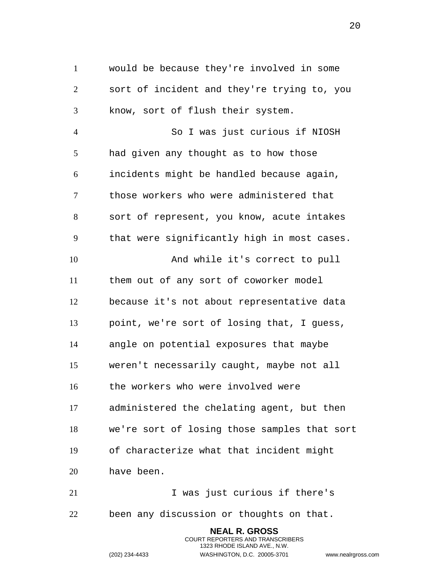would be because they're involved in some sort of incident and they're trying to, you know, sort of flush their system.

 So I was just curious if NIOSH had given any thought as to how those incidents might be handled because again, those workers who were administered that sort of represent, you know, acute intakes that were significantly high in most cases. And while it's correct to pull them out of any sort of coworker model because it's not about representative data point, we're sort of losing that, I guess, angle on potential exposures that maybe weren't necessarily caught, maybe not all the workers who were involved were administered the chelating agent, but then we're sort of losing those samples that sort of characterize what that incident might have been.

21 1 Vas just curious if there's been any discussion or thoughts on that.

> **NEAL R. GROSS** COURT REPORTERS AND TRANSCRIBERS 1323 RHODE ISLAND AVE., N.W.

(202) 234-4433 WASHINGTON, D.C. 20005-3701 www.nealrgross.com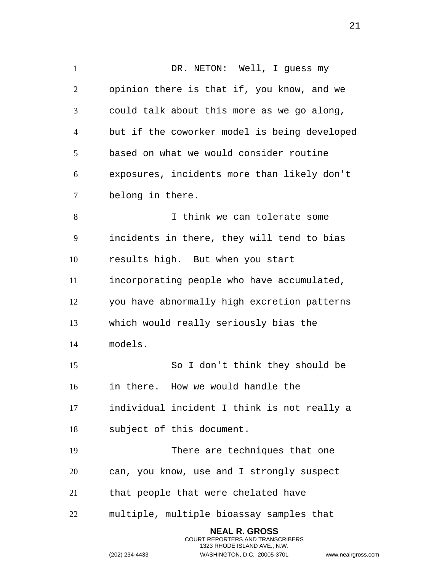1 DR. NETON: Well, I quess my opinion there is that if, you know, and we could talk about this more as we go along, but if the coworker model is being developed based on what we would consider routine exposures, incidents more than likely don't belong in there. I think we can tolerate some incidents in there, they will tend to bias results high. But when you start incorporating people who have accumulated, you have abnormally high excretion patterns which would really seriously bias the models. So I don't think they should be in there. How we would handle the individual incident I think is not really a subject of this document. There are techniques that one can, you know, use and I strongly suspect that people that were chelated have multiple, multiple bioassay samples that **NEAL R. GROSS**

> COURT REPORTERS AND TRANSCRIBERS 1323 RHODE ISLAND AVE., N.W.

(202) 234-4433 WASHINGTON, D.C. 20005-3701 www.nealrgross.com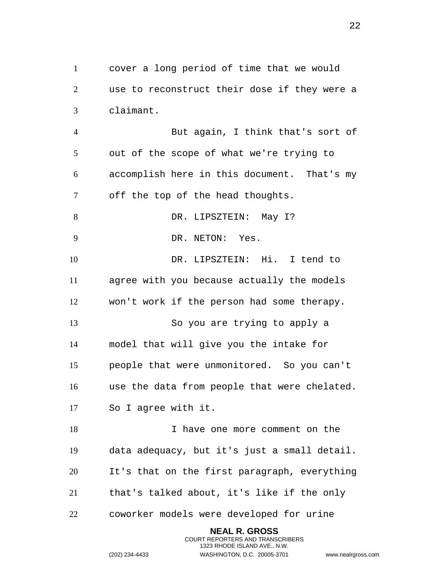cover a long period of time that we would use to reconstruct their dose if they were a claimant.

 But again, I think that's sort of out of the scope of what we're trying to accomplish here in this document. That's my off the top of the head thoughts. 8 DR. LIPSZTEIN: May I? DR. NETON: Yes. DR. LIPSZTEIN: Hi. I tend to agree with you because actually the models won't work if the person had some therapy. So you are trying to apply a model that will give you the intake for people that were unmonitored. So you can't use the data from people that were chelated. So I agree with it. 18 18 I have one more comment on the data adequacy, but it's just a small detail.

 It's that on the first paragraph, everything that's talked about, it's like if the only

> **NEAL R. GROSS** COURT REPORTERS AND TRANSCRIBERS 1323 RHODE ISLAND AVE., N.W.

coworker models were developed for urine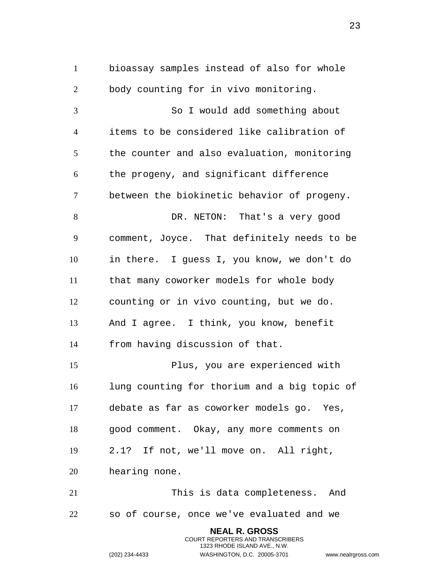bioassay samples instead of also for whole body counting for in vivo monitoring. So I would add something about items to be considered like calibration of the counter and also evaluation, monitoring the progeny, and significant difference between the biokinetic behavior of progeny. DR. NETON: That's a very good comment, Joyce. That definitely needs to be in there. I guess I, you know, we don't do that many coworker models for whole body counting or in vivo counting, but we do. And I agree. I think, you know, benefit from having discussion of that. Plus, you are experienced with lung counting for thorium and a big topic of debate as far as coworker models go. Yes, good comment. Okay, any more comments on 2.1? If not, we'll move on. All right, hearing none. This is data completeness. And so of course, once we've evaluated and we **NEAL R. GROSS**

> COURT REPORTERS AND TRANSCRIBERS 1323 RHODE ISLAND AVE., N.W.

(202) 234-4433 WASHINGTON, D.C. 20005-3701 www.nealrgross.com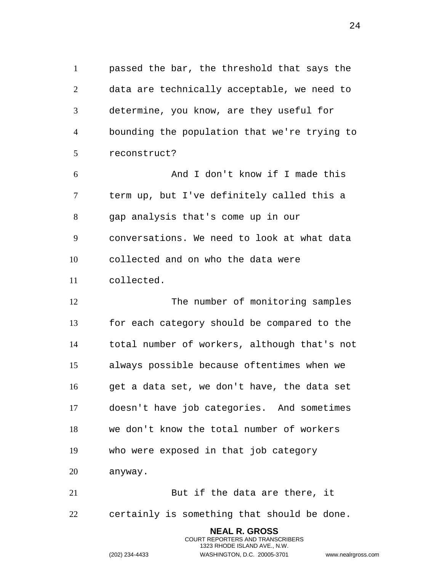passed the bar, the threshold that says the data are technically acceptable, we need to determine, you know, are they useful for bounding the population that we're trying to reconstruct?

 And I don't know if I made this term up, but I've definitely called this a gap analysis that's come up in our conversations. We need to look at what data collected and on who the data were collected.

12 The number of monitoring samples for each category should be compared to the total number of workers, although that's not always possible because oftentimes when we get a data set, we don't have, the data set doesn't have job categories. And sometimes we don't know the total number of workers who were exposed in that job category anyway.

21 But if the data are there, it certainly is something that should be done.

> **NEAL R. GROSS** COURT REPORTERS AND TRANSCRIBERS 1323 RHODE ISLAND AVE., N.W.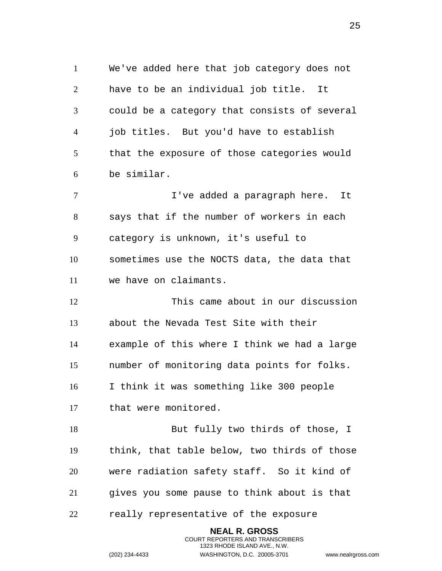We've added here that job category does not have to be an individual job title. It could be a category that consists of several job titles. But you'd have to establish that the exposure of those categories would be similar.

 I've added a paragraph here. It says that if the number of workers in each category is unknown, it's useful to sometimes use the NOCTS data, the data that we have on claimants.

 This came about in our discussion about the Nevada Test Site with their example of this where I think we had a large number of monitoring data points for folks. I think it was something like 300 people that were monitored.

18 But fully two thirds of those, I think, that table below, two thirds of those were radiation safety staff. So it kind of gives you some pause to think about is that

> **NEAL R. GROSS** COURT REPORTERS AND TRANSCRIBERS 1323 RHODE ISLAND AVE., N.W.

really representative of the exposure

(202) 234-4433 WASHINGTON, D.C. 20005-3701 www.nealrgross.com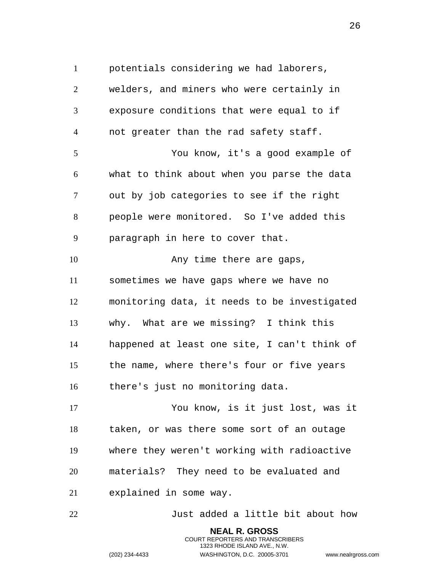potentials considering we had laborers,

 welders, and miners who were certainly in exposure conditions that were equal to if not greater than the rad safety staff. You know, it's a good example of what to think about when you parse the data out by job categories to see if the right people were monitored. So I've added this paragraph in here to cover that. 10 Any time there are gaps, sometimes we have gaps where we have no monitoring data, it needs to be investigated why. What are we missing? I think this happened at least one site, I can't think of the name, where there's four or five years there's just no monitoring data. You know, is it just lost, was it taken, or was there some sort of an outage where they weren't working with radioactive materials? They need to be evaluated and explained in some way. Just added a little bit about how

> **NEAL R. GROSS** COURT REPORTERS AND TRANSCRIBERS 1323 RHODE ISLAND AVE., N.W.

(202) 234-4433 WASHINGTON, D.C. 20005-3701 www.nealrgross.com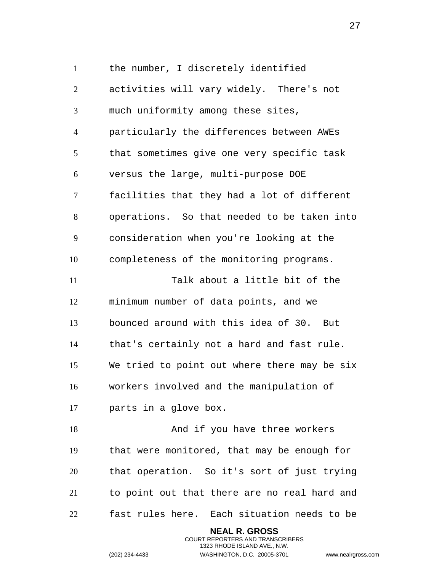the number, I discretely identified activities will vary widely. There's not much uniformity among these sites, particularly the differences between AWEs that sometimes give one very specific task versus the large, multi-purpose DOE facilities that they had a lot of different operations. So that needed to be taken into consideration when you're looking at the completeness of the monitoring programs. Talk about a little bit of the minimum number of data points, and we bounced around with this idea of 30. But that's certainly not a hard and fast rule. We tried to point out where there may be six workers involved and the manipulation of parts in a glove box. 18 And if you have three workers that were monitored, that may be enough for that operation. So it's sort of just trying to point out that there are no real hard and fast rules here. Each situation needs to be

> **NEAL R. GROSS** COURT REPORTERS AND TRANSCRIBERS 1323 RHODE ISLAND AVE., N.W.

(202) 234-4433 WASHINGTON, D.C. 20005-3701 www.nealrgross.com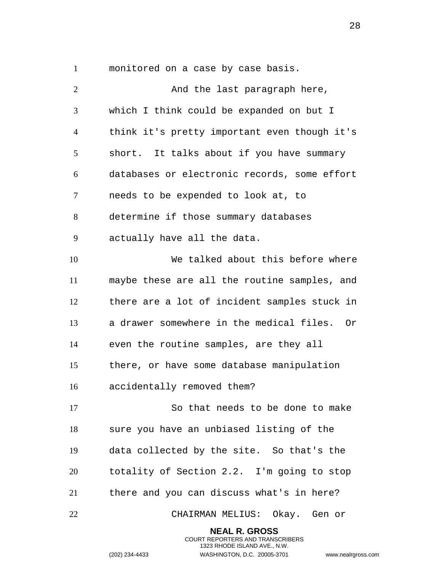monitored on a case by case basis.

2 And the last paragraph here, which I think could be expanded on but I think it's pretty important even though it's short. It talks about if you have summary databases or electronic records, some effort needs to be expended to look at, to determine if those summary databases actually have all the data. We talked about this before where maybe these are all the routine samples, and there are a lot of incident samples stuck in a drawer somewhere in the medical files. Or even the routine samples, are they all there, or have some database manipulation accidentally removed them? So that needs to be done to make sure you have an unbiased listing of the data collected by the site. So that's the totality of Section 2.2. I'm going to stop there and you can discuss what's in here? CHAIRMAN MELIUS: Okay. Gen or **NEAL R. GROSS**

> COURT REPORTERS AND TRANSCRIBERS 1323 RHODE ISLAND AVE., N.W.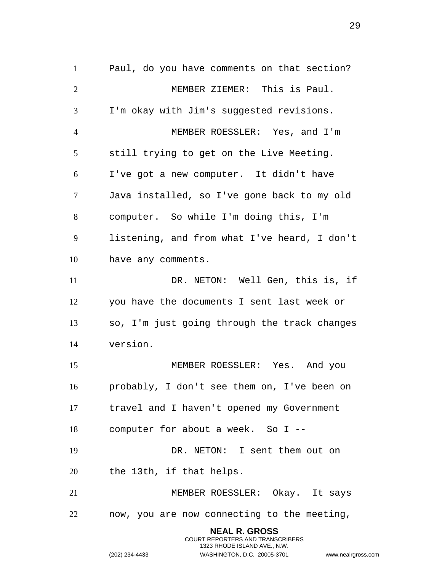Paul, do you have comments on that section? MEMBER ZIEMER: This is Paul. I'm okay with Jim's suggested revisions. MEMBER ROESSLER: Yes, and I'm still trying to get on the Live Meeting. I've got a new computer. It didn't have Java installed, so I've gone back to my old computer. So while I'm doing this, I'm listening, and from what I've heard, I don't have any comments. DR. NETON: Well Gen, this is, if you have the documents I sent last week or so, I'm just going through the track changes version. MEMBER ROESSLER: Yes. And you probably, I don't see them on, I've been on travel and I haven't opened my Government computer for about a week. So I -- DR. NETON: I sent them out on the 13th, if that helps. MEMBER ROESSLER: Okay. It says now, you are now connecting to the meeting, **NEAL R. GROSS** COURT REPORTERS AND TRANSCRIBERS

1323 RHODE ISLAND AVE., N.W.

(202) 234-4433 WASHINGTON, D.C. 20005-3701 www.nealrgross.com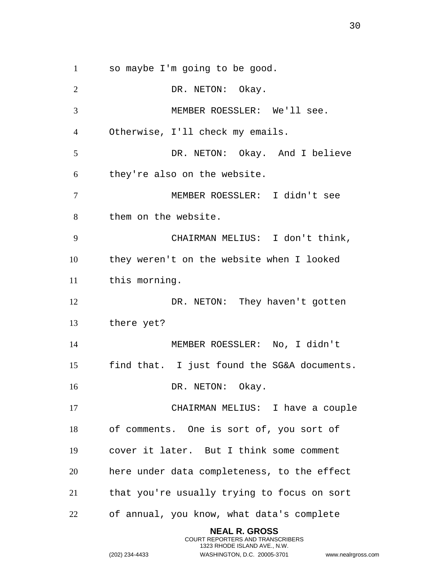so maybe I'm going to be good.

2 DR. NETON: Okay. MEMBER ROESSLER: We'll see. Otherwise, I'll check my emails. DR. NETON: Okay. And I believe they're also on the website. MEMBER ROESSLER: I didn't see them on the website. CHAIRMAN MELIUS: I don't think, they weren't on the website when I looked this morning. 12 DR. NETON: They haven't gotten there yet? MEMBER ROESSLER: No, I didn't find that. I just found the SG&A documents. 16 DR. NETON: Okay. CHAIRMAN MELIUS: I have a couple of comments. One is sort of, you sort of cover it later. But I think some comment here under data completeness, to the effect that you're usually trying to focus on sort of annual, you know, what data's complete **NEAL R. GROSS**

COURT REPORTERS AND TRANSCRIBERS 1323 RHODE ISLAND AVE., N.W.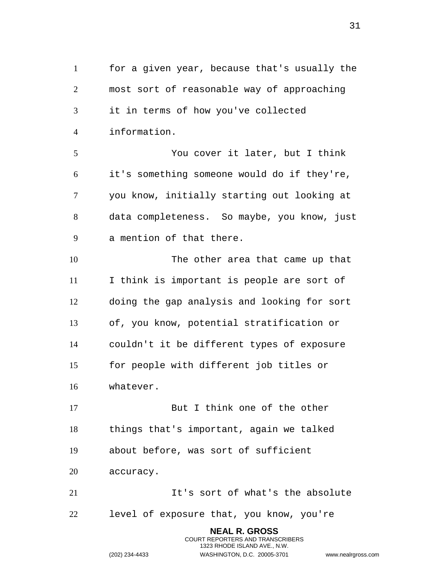for a given year, because that's usually the most sort of reasonable way of approaching it in terms of how you've collected information. You cover it later, but I think it's something someone would do if they're, you know, initially starting out looking at data completeness. So maybe, you know, just a mention of that there. The other area that came up that I think is important is people are sort of doing the gap analysis and looking for sort of, you know, potential stratification or couldn't it be different types of exposure for people with different job titles or whatever. 17 But I think one of the other things that's important, again we talked about before, was sort of sufficient accuracy. It's sort of what's the absolute level of exposure that, you know, you're **NEAL R. GROSS** COURT REPORTERS AND TRANSCRIBERS

1323 RHODE ISLAND AVE., N.W.

(202) 234-4433 WASHINGTON, D.C. 20005-3701 www.nealrgross.com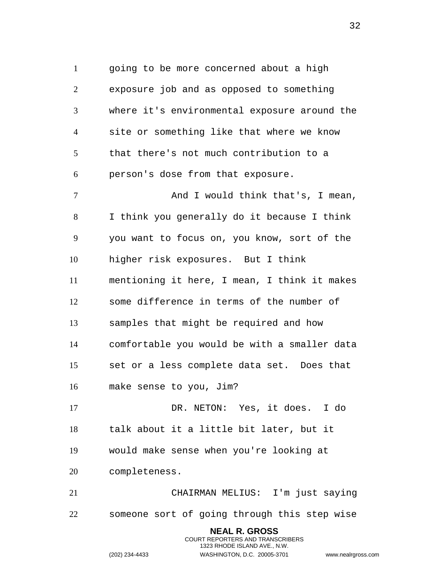going to be more concerned about a high exposure job and as opposed to something where it's environmental exposure around the site or something like that where we know that there's not much contribution to a person's dose from that exposure. 7 And I would think that's, I mean, I think you generally do it because I think you want to focus on, you know, sort of the higher risk exposures. But I think mentioning it here, I mean, I think it makes some difference in terms of the number of samples that might be required and how comfortable you would be with a smaller data set or a less complete data set. Does that make sense to you, Jim? DR. NETON: Yes, it does. I do talk about it a little bit later, but it would make sense when you're looking at completeness.

 CHAIRMAN MELIUS: I'm just saying someone sort of going through this step wise

> **NEAL R. GROSS** COURT REPORTERS AND TRANSCRIBERS 1323 RHODE ISLAND AVE., N.W.

(202) 234-4433 WASHINGTON, D.C. 20005-3701 www.nealrgross.com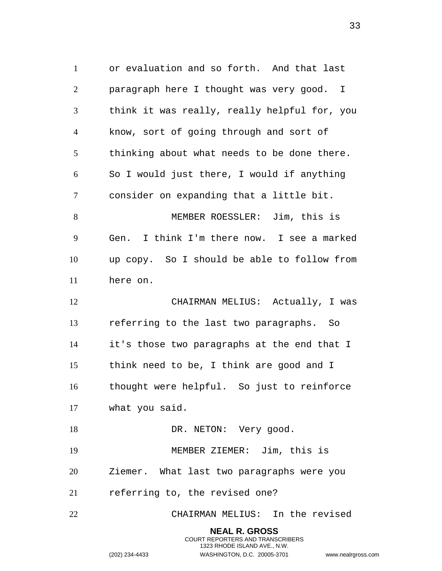or evaluation and so forth. And that last paragraph here I thought was very good. I think it was really, really helpful for, you know, sort of going through and sort of thinking about what needs to be done there. So I would just there, I would if anything consider on expanding that a little bit. MEMBER ROESSLER: Jim, this is Gen. I think I'm there now. I see a marked up copy. So I should be able to follow from here on. CHAIRMAN MELIUS: Actually, I was referring to the last two paragraphs. So it's those two paragraphs at the end that I think need to be, I think are good and I thought were helpful. So just to reinforce what you said. 18 DR. NETON: Very good. MEMBER ZIEMER: Jim, this is Ziemer. What last two paragraphs were you referring to, the revised one? CHAIRMAN MELIUS: In the revised **NEAL R. GROSS** COURT REPORTERS AND TRANSCRIBERS

1323 RHODE ISLAND AVE., N.W.

(202) 234-4433 WASHINGTON, D.C. 20005-3701 www.nealrgross.com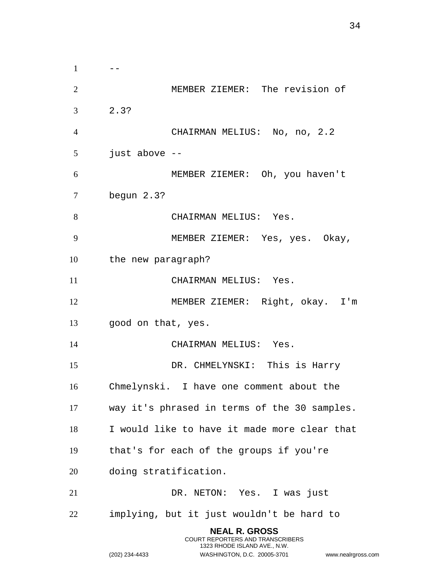$1 \qquad -$  MEMBER ZIEMER: The revision of 2.3? CHAIRMAN MELIUS: No, no, 2.2 just above -- MEMBER ZIEMER: Oh, you haven't begun 2.3? 8 CHAIRMAN MELIUS: Yes. MEMBER ZIEMER: Yes, yes. Okay, the new paragraph? 11 CHAIRMAN MELIUS: Yes. MEMBER ZIEMER: Right, okay. I'm good on that, yes. 14 CHAIRMAN MELIUS: Yes. DR. CHMELYNSKI: This is Harry Chmelynski. I have one comment about the way it's phrased in terms of the 30 samples. I would like to have it made more clear that that's for each of the groups if you're doing stratification. DR. NETON: Yes. I was just implying, but it just wouldn't be hard to **NEAL R. GROSS** COURT REPORTERS AND TRANSCRIBERS 1323 RHODE ISLAND AVE., N.W.

(202) 234-4433 WASHINGTON, D.C. 20005-3701 www.nealrgross.com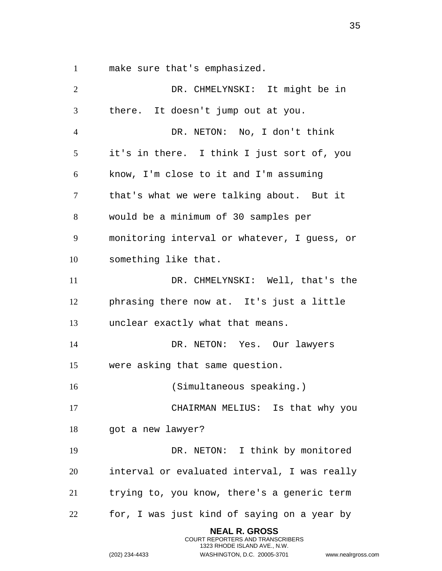make sure that's emphasized.

 DR. CHMELYNSKI: It might be in there. It doesn't jump out at you. DR. NETON: No, I don't think it's in there. I think I just sort of, you know, I'm close to it and I'm assuming that's what we were talking about. But it would be a minimum of 30 samples per monitoring interval or whatever, I guess, or something like that. DR. CHMELYNSKI: Well, that's the phrasing there now at. It's just a little unclear exactly what that means. DR. NETON: Yes. Our lawyers were asking that same question. (Simultaneous speaking.) CHAIRMAN MELIUS: Is that why you 18 got a new lawyer? DR. NETON: I think by monitored interval or evaluated interval, I was really trying to, you know, there's a generic term for, I was just kind of saying on a year by **NEAL R. GROSS**

> COURT REPORTERS AND TRANSCRIBERS 1323 RHODE ISLAND AVE., N.W.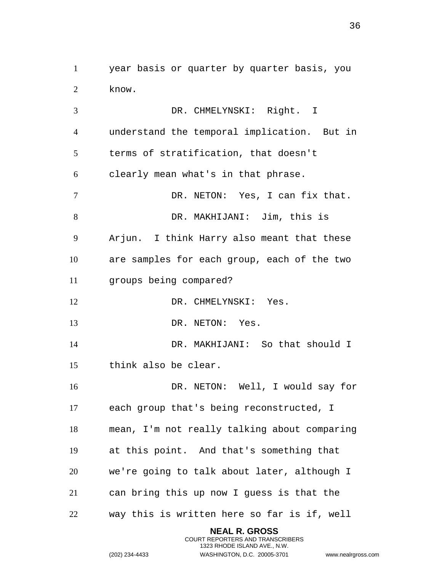year basis or quarter by quarter basis, you know.

 DR. CHMELYNSKI: Right. I understand the temporal implication. But in terms of stratification, that doesn't clearly mean what's in that phrase. DR. NETON: Yes, I can fix that. DR. MAKHIJANI: Jim, this is Arjun. I think Harry also meant that these are samples for each group, each of the two groups being compared? 12 DR. CHMELYNSKI: Yes. 13 DR. NETON: Yes. DR. MAKHIJANI: So that should I think also be clear. DR. NETON: Well, I would say for each group that's being reconstructed, I mean, I'm not really talking about comparing at this point. And that's something that we're going to talk about later, although I can bring this up now I guess is that the way this is written here so far is if, well

> **NEAL R. GROSS** COURT REPORTERS AND TRANSCRIBERS 1323 RHODE ISLAND AVE., N.W.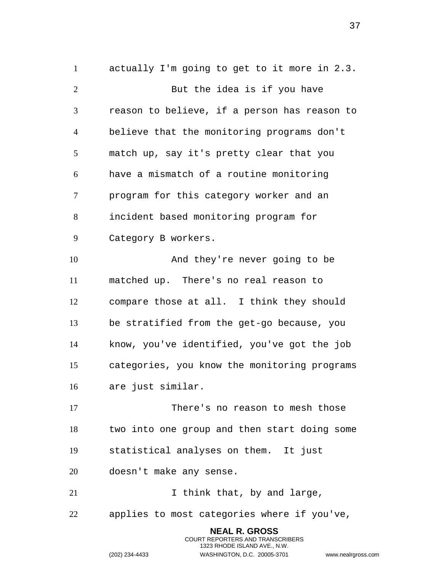actually I'm going to get to it more in 2.3. 2 But the idea is if you have reason to believe, if a person has reason to believe that the monitoring programs don't match up, say it's pretty clear that you have a mismatch of a routine monitoring program for this category worker and an incident based monitoring program for Category B workers. And they're never going to be matched up. There's no real reason to compare those at all. I think they should be stratified from the get-go because, you know, you've identified, you've got the job categories, you know the monitoring programs are just similar. There's no reason to mesh those two into one group and then start doing some statistical analyses on them. It just doesn't make any sense. 21 1 I think that, by and large, applies to most categories where if you've,

> **NEAL R. GROSS** COURT REPORTERS AND TRANSCRIBERS 1323 RHODE ISLAND AVE., N.W.

(202) 234-4433 WASHINGTON, D.C. 20005-3701 www.nealrgross.com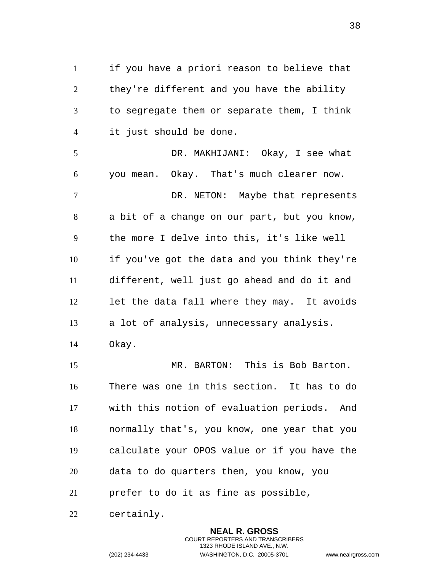if you have a priori reason to believe that they're different and you have the ability to segregate them or separate them, I think it just should be done. DR. MAKHIJANI: Okay, I see what you mean. Okay. That's much clearer now. DR. NETON: Maybe that represents a bit of a change on our part, but you know, the more I delve into this, it's like well if you've got the data and you think they're different, well just go ahead and do it and let the data fall where they may. It avoids a lot of analysis, unnecessary analysis. Okay. MR. BARTON: This is Bob Barton. There was one in this section. It has to do with this notion of evaluation periods. And normally that's, you know, one year that you calculate your OPOS value or if you have the data to do quarters then, you know, you prefer to do it as fine as possible,

certainly.

**NEAL R. GROSS** COURT REPORTERS AND TRANSCRIBERS 1323 RHODE ISLAND AVE., N.W. (202) 234-4433 WASHINGTON, D.C. 20005-3701 www.nealrgross.com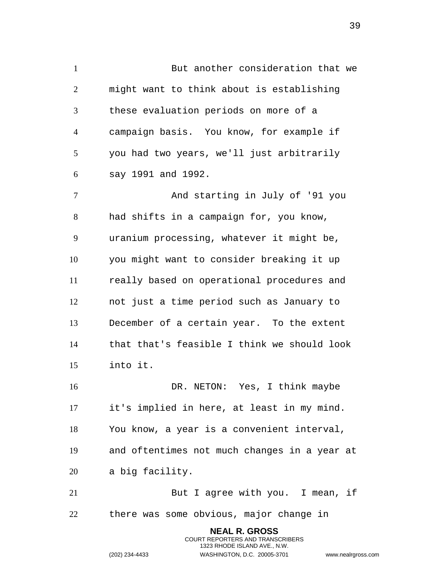But another consideration that we might want to think about is establishing these evaluation periods on more of a campaign basis. You know, for example if you had two years, we'll just arbitrarily say 1991 and 1992. And starting in July of '91 you had shifts in a campaign for, you know, uranium processing, whatever it might be, you might want to consider breaking it up really based on operational procedures and

 not just a time period such as January to December of a certain year. To the extent that that's feasible I think we should look into it.

 DR. NETON: Yes, I think maybe it's implied in here, at least in my mind. You know, a year is a convenient interval, and oftentimes not much changes in a year at a big facility. But I agree with you. I mean, if

there was some obvious, major change in

**NEAL R. GROSS** COURT REPORTERS AND TRANSCRIBERS 1323 RHODE ISLAND AVE., N.W.

```
(202) 234-4433 WASHINGTON, D.C. 20005-3701 www.nealrgross.com
```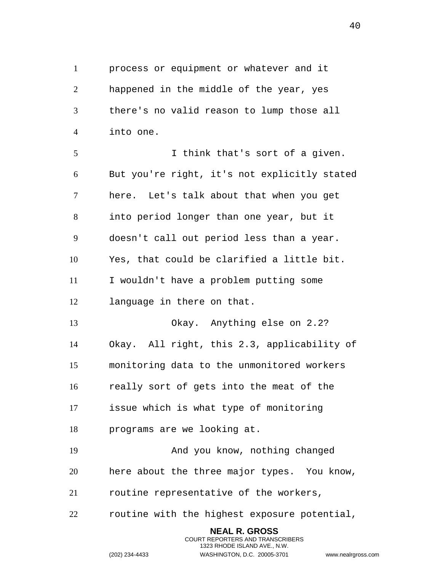process or equipment or whatever and it happened in the middle of the year, yes there's no valid reason to lump those all into one. I think that's sort of a given. But you're right, it's not explicitly stated here. Let's talk about that when you get into period longer than one year, but it doesn't call out period less than a year. Yes, that could be clarified a little bit. I wouldn't have a problem putting some language in there on that. Okay. Anything else on 2.2? Okay. All right, this 2.3, applicability of monitoring data to the unmonitored workers really sort of gets into the meat of the issue which is what type of monitoring programs are we looking at. And you know, nothing changed here about the three major types. You know, routine representative of the workers,

routine with the highest exposure potential,

**NEAL R. GROSS** COURT REPORTERS AND TRANSCRIBERS 1323 RHODE ISLAND AVE., N.W.

(202) 234-4433 WASHINGTON, D.C. 20005-3701 www.nealrgross.com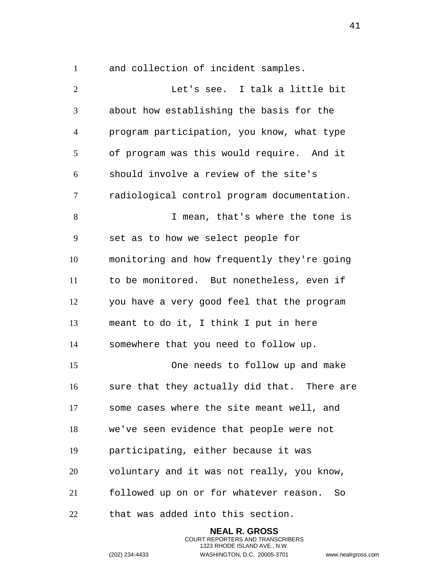and collection of incident samples.

 Let's see. I talk a little bit about how establishing the basis for the program participation, you know, what type of program was this would require. And it should involve a review of the site's radiological control program documentation. 8 T mean, that's where the tone is set as to how we select people for monitoring and how frequently they're going to be monitored. But nonetheless, even if you have a very good feel that the program meant to do it, I think I put in here somewhere that you need to follow up. One needs to follow up and make sure that they actually did that. There are some cases where the site meant well, and we've seen evidence that people were not participating, either because it was voluntary and it was not really, you know, followed up on or for whatever reason. So that was added into this section.

> **NEAL R. GROSS** COURT REPORTERS AND TRANSCRIBERS 1323 RHODE ISLAND AVE., N.W. (202) 234-4433 WASHINGTON, D.C. 20005-3701 www.nealrgross.com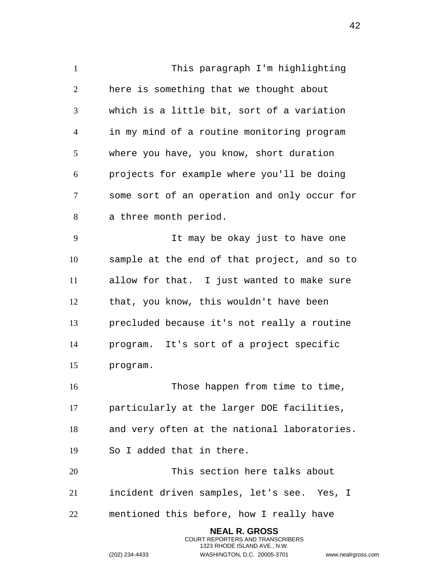This paragraph I'm highlighting here is something that we thought about which is a little bit, sort of a variation in my mind of a routine monitoring program where you have, you know, short duration projects for example where you'll be doing some sort of an operation and only occur for a three month period. It may be okay just to have one sample at the end of that project, and so to allow for that. I just wanted to make sure that, you know, this wouldn't have been precluded because it's not really a routine program. It's sort of a project specific program. 16 Those happen from time to time, particularly at the larger DOE facilities, and very often at the national laboratories. So I added that in there. This section here talks about incident driven samples, let's see. Yes, I mentioned this before, how I really have **NEAL R. GROSS**

> COURT REPORTERS AND TRANSCRIBERS 1323 RHODE ISLAND AVE., N.W.

(202) 234-4433 WASHINGTON, D.C. 20005-3701 www.nealrgross.com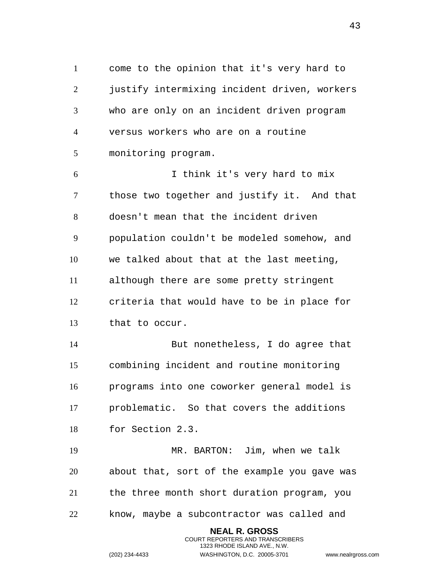come to the opinion that it's very hard to justify intermixing incident driven, workers who are only on an incident driven program versus workers who are on a routine monitoring program.

 I think it's very hard to mix those two together and justify it. And that doesn't mean that the incident driven population couldn't be modeled somehow, and we talked about that at the last meeting, although there are some pretty stringent criteria that would have to be in place for that to occur.

 But nonetheless, I do agree that combining incident and routine monitoring programs into one coworker general model is problematic. So that covers the additions for Section 2.3.

 MR. BARTON: Jim, when we talk about that, sort of the example you gave was the three month short duration program, you know, maybe a subcontractor was called and

> **NEAL R. GROSS** COURT REPORTERS AND TRANSCRIBERS 1323 RHODE ISLAND AVE., N.W.

(202) 234-4433 WASHINGTON, D.C. 20005-3701 www.nealrgross.com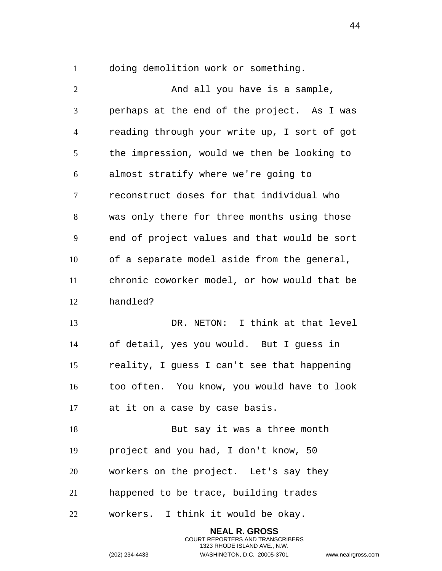doing demolition work or something.

2 And all you have is a sample, perhaps at the end of the project. As I was reading through your write up, I sort of got the impression, would we then be looking to almost stratify where we're going to reconstruct doses for that individual who was only there for three months using those end of project values and that would be sort of a separate model aside from the general, chronic coworker model, or how would that be handled? DR. NETON: I think at that level of detail, yes you would. But I guess in reality, I guess I can't see that happening too often. You know, you would have to look at it on a case by case basis. 18 But say it was a three month project and you had, I don't know, 50 workers on the project. Let's say they happened to be trace, building trades workers. I think it would be okay.

> **NEAL R. GROSS** COURT REPORTERS AND TRANSCRIBERS 1323 RHODE ISLAND AVE., N.W. (202) 234-4433 WASHINGTON, D.C. 20005-3701 www.nealrgross.com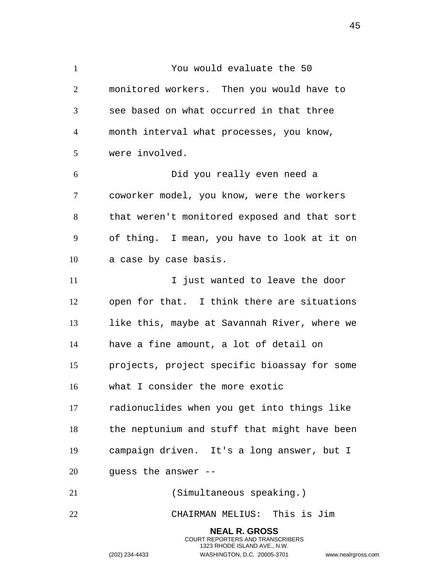You would evaluate the 50 monitored workers. Then you would have to see based on what occurred in that three month interval what processes, you know, were involved. Did you really even need a coworker model, you know, were the workers that weren't monitored exposed and that sort of thing. I mean, you have to look at it on a case by case basis. 11 11 I just wanted to leave the door open for that. I think there are situations like this, maybe at Savannah River, where we have a fine amount, a lot of detail on projects, project specific bioassay for some what I consider the more exotic radionuclides when you get into things like the neptunium and stuff that might have been campaign driven. It's a long answer, but I guess the answer -- (Simultaneous speaking.) CHAIRMAN MELIUS: This is Jim **NEAL R. GROSS**

> COURT REPORTERS AND TRANSCRIBERS 1323 RHODE ISLAND AVE., N.W.

(202) 234-4433 WASHINGTON, D.C. 20005-3701 www.nealrgross.com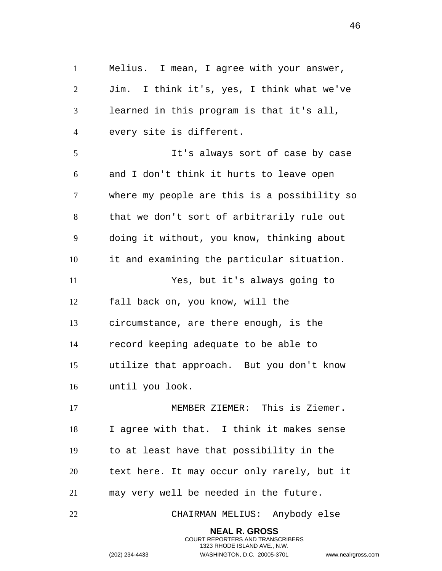Melius. I mean, I agree with your answer, Jim. I think it's, yes, I think what we've learned in this program is that it's all, every site is different. It's always sort of case by case and I don't think it hurts to leave open where my people are this is a possibility so that we don't sort of arbitrarily rule out doing it without, you know, thinking about it and examining the particular situation. Yes, but it's always going to fall back on, you know, will the circumstance, are there enough, is the record keeping adequate to be able to utilize that approach. But you don't know until you look. MEMBER ZIEMER: This is Ziemer. I agree with that. I think it makes sense to at least have that possibility in the text here. It may occur only rarely, but it may very well be needed in the future. CHAIRMAN MELIUS: Anybody else

> **NEAL R. GROSS** COURT REPORTERS AND TRANSCRIBERS 1323 RHODE ISLAND AVE., N.W.

(202) 234-4433 WASHINGTON, D.C. 20005-3701 www.nealrgross.com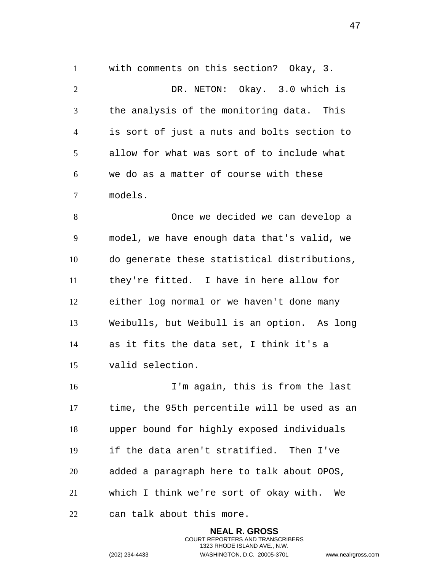with comments on this section? Okay, 3. DR. NETON: Okay. 3.0 which is the analysis of the monitoring data. This is sort of just a nuts and bolts section to allow for what was sort of to include what we do as a matter of course with these models.

 Once we decided we can develop a model, we have enough data that's valid, we do generate these statistical distributions, they're fitted. I have in here allow for either log normal or we haven't done many Weibulls, but Weibull is an option. As long as it fits the data set, I think it's a valid selection.

 I'm again, this is from the last time, the 95th percentile will be used as an upper bound for highly exposed individuals if the data aren't stratified. Then I've added a paragraph here to talk about OPOS, which I think we're sort of okay with. We can talk about this more.

> **NEAL R. GROSS** COURT REPORTERS AND TRANSCRIBERS 1323 RHODE ISLAND AVE., N.W. (202) 234-4433 WASHINGTON, D.C. 20005-3701 www.nealrgross.com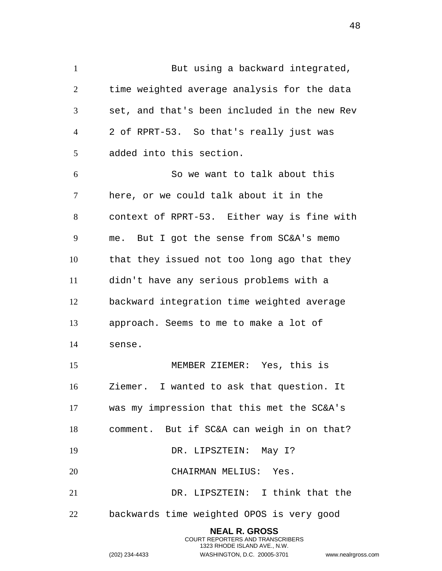1 But using a backward integrated, time weighted average analysis for the data set, and that's been included in the new Rev 2 of RPRT-53. So that's really just was added into this section. So we want to talk about this

 here, or we could talk about it in the context of RPRT-53. Either way is fine with me. But I got the sense from SC&A's memo that they issued not too long ago that they didn't have any serious problems with a backward integration time weighted average approach. Seems to me to make a lot of sense.

 MEMBER ZIEMER: Yes, this is Ziemer. I wanted to ask that question. It was my impression that this met the SC&A's comment. But if SC&A can weigh in on that? 19 DR. LIPSZTEIN: May 1? CHAIRMAN MELIUS: Yes. DR. LIPSZTEIN: I think that the backwards time weighted OPOS is very good

> **NEAL R. GROSS** COURT REPORTERS AND TRANSCRIBERS 1323 RHODE ISLAND AVE., N.W. (202) 234-4433 WASHINGTON, D.C. 20005-3701 www.nealrgross.com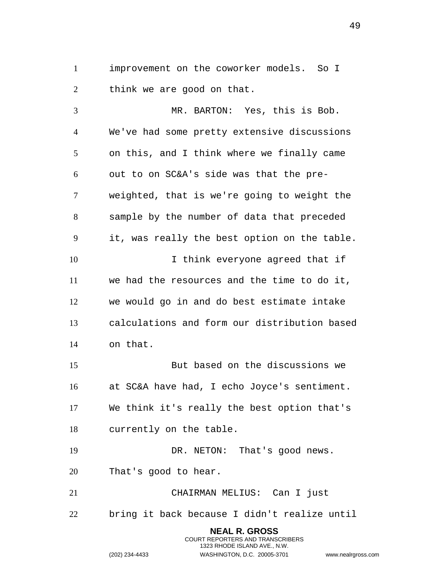improvement on the coworker models. So I think we are good on that.

 MR. BARTON: Yes, this is Bob. We've had some pretty extensive discussions on this, and I think where we finally came out to on SC&A's side was that the pre- weighted, that is we're going to weight the sample by the number of data that preceded it, was really the best option on the table. I think everyone agreed that if we had the resources and the time to do it, we would go in and do best estimate intake calculations and form our distribution based on that. But based on the discussions we at SC&A have had, I echo Joyce's sentiment. We think it's really the best option that's currently on the table. 19 DR. NETON: That's good news. That's good to hear. CHAIRMAN MELIUS: Can I just bring it back because I didn't realize until **NEAL R. GROSS**

> COURT REPORTERS AND TRANSCRIBERS 1323 RHODE ISLAND AVE., N.W.

(202) 234-4433 WASHINGTON, D.C. 20005-3701 www.nealrgross.com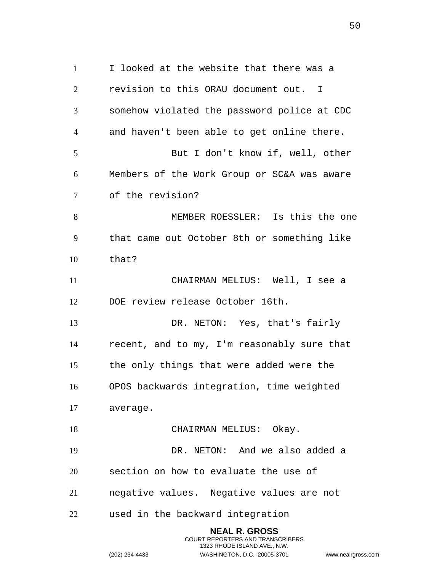I looked at the website that there was a revision to this ORAU document out. I somehow violated the password police at CDC and haven't been able to get online there. But I don't know if, well, other Members of the Work Group or SC&A was aware of the revision? MEMBER ROESSLER: Is this the one that came out October 8th or something like that? CHAIRMAN MELIUS: Well, I see a DOE review release October 16th. DR. NETON: Yes, that's fairly recent, and to my, I'm reasonably sure that the only things that were added were the OPOS backwards integration, time weighted average. 18 CHAIRMAN MELIUS: Okay. DR. NETON: And we also added a section on how to evaluate the use of negative values. Negative values are not used in the backward integration **NEAL R. GROSS**

> COURT REPORTERS AND TRANSCRIBERS 1323 RHODE ISLAND AVE., N.W.

(202) 234-4433 WASHINGTON, D.C. 20005-3701 www.nealrgross.com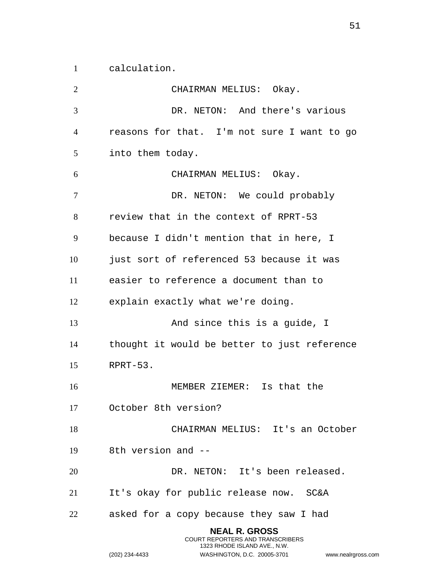calculation.

 CHAIRMAN MELIUS: Okay. DR. NETON: And there's various reasons for that. I'm not sure I want to go into them today. CHAIRMAN MELIUS: Okay. 7 DR. NETON: We could probably review that in the context of RPRT-53 because I didn't mention that in here, I just sort of referenced 53 because it was easier to reference a document than to explain exactly what we're doing. And since this is a guide, I thought it would be better to just reference RPRT-53. MEMBER ZIEMER: Is that the October 8th version? CHAIRMAN MELIUS: It's an October 8th version and -- DR. NETON: It's been released. It's okay for public release now. SC&A asked for a copy because they saw I had **NEAL R. GROSS**

COURT REPORTERS AND TRANSCRIBERS 1323 RHODE ISLAND AVE., N.W.

(202) 234-4433 WASHINGTON, D.C. 20005-3701 www.nealrgross.com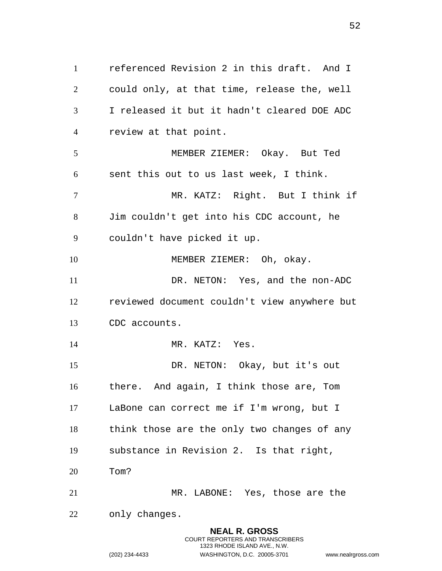referenced Revision 2 in this draft. And I could only, at that time, release the, well I released it but it hadn't cleared DOE ADC review at that point. MEMBER ZIEMER: Okay. But Ted sent this out to us last week, I think. MR. KATZ: Right. But I think if Jim couldn't get into his CDC account, he couldn't have picked it up. 10 MEMBER ZIEMER: Oh, okay. DR. NETON: Yes, and the non-ADC reviewed document couldn't view anywhere but CDC accounts. 14 MR. KATZ: Yes. DR. NETON: Okay, but it's out there. And again, I think those are, Tom LaBone can correct me if I'm wrong, but I think those are the only two changes of any substance in Revision 2. Is that right, Tom? MR. LABONE: Yes, those are the only changes.

> **NEAL R. GROSS** COURT REPORTERS AND TRANSCRIBERS 1323 RHODE ISLAND AVE., N.W.

(202) 234-4433 WASHINGTON, D.C. 20005-3701 www.nealrgross.com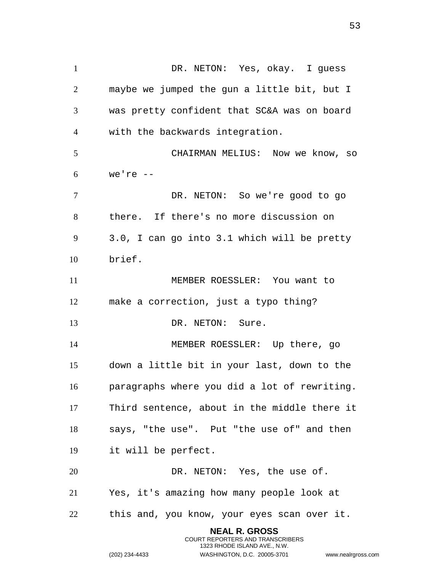DR. NETON: Yes, okay. I guess maybe we jumped the gun a little bit, but I was pretty confident that SC&A was on board with the backwards integration. CHAIRMAN MELIUS: Now we know, so we're -- DR. NETON: So we're good to go there. If there's no more discussion on 3.0, I can go into 3.1 which will be pretty brief. MEMBER ROESSLER: You want to make a correction, just a typo thing? 13 DR. NETON: Sure. MEMBER ROESSLER: Up there, go down a little bit in your last, down to the paragraphs where you did a lot of rewriting. Third sentence, about in the middle there it says, "the use". Put "the use of" and then it will be perfect. 20 DR. NETON: Yes, the use of. Yes, it's amazing how many people look at this and, you know, your eyes scan over it.

> **NEAL R. GROSS** COURT REPORTERS AND TRANSCRIBERS 1323 RHODE ISLAND AVE., N.W.

(202) 234-4433 WASHINGTON, D.C. 20005-3701 www.nealrgross.com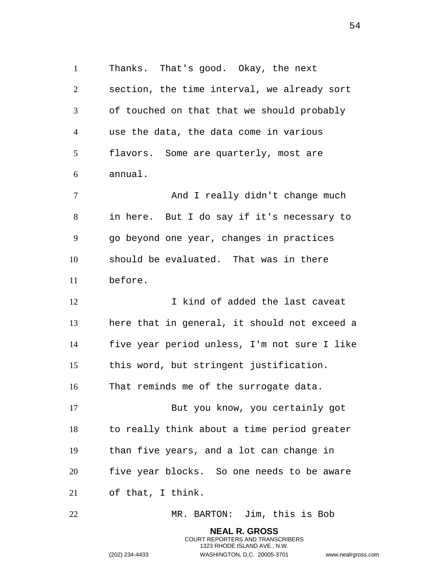Thanks. That's good. Okay, the next section, the time interval, we already sort of touched on that that we should probably use the data, the data come in various flavors. Some are quarterly, most are annual.

 And I really didn't change much in here. But I do say if it's necessary to go beyond one year, changes in practices should be evaluated. That was in there before.

12 12 I kind of added the last caveat here that in general, it should not exceed a five year period unless, I'm not sure I like this word, but stringent justification.

That reminds me of the surrogate data.

 But you know, you certainly got to really think about a time period greater than five years, and a lot can change in five year blocks. So one needs to be aware of that, I think.

MR. BARTON: Jim, this is Bob

**NEAL R. GROSS** COURT REPORTERS AND TRANSCRIBERS 1323 RHODE ISLAND AVE., N.W.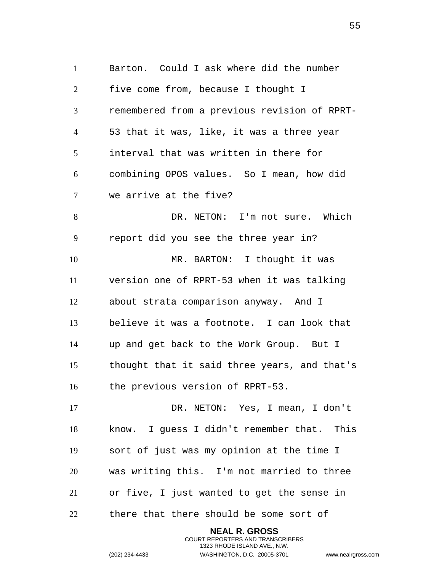Barton. Could I ask where did the number five come from, because I thought I remembered from a previous revision of RPRT- 53 that it was, like, it was a three year interval that was written in there for combining OPOS values. So I mean, how did we arrive at the five? DR. NETON: I'm not sure. Which report did you see the three year in? 10 MR. BARTON: I thought it was version one of RPRT-53 when it was talking about strata comparison anyway. And I believe it was a footnote. I can look that up and get back to the Work Group. But I thought that it said three years, and that's the previous version of RPRT-53. DR. NETON: Yes, I mean, I don't know. I guess I didn't remember that. This sort of just was my opinion at the time I was writing this. I'm not married to three or five, I just wanted to get the sense in there that there should be some sort of

> **NEAL R. GROSS** COURT REPORTERS AND TRANSCRIBERS 1323 RHODE ISLAND AVE., N.W.

(202) 234-4433 WASHINGTON, D.C. 20005-3701 www.nealrgross.com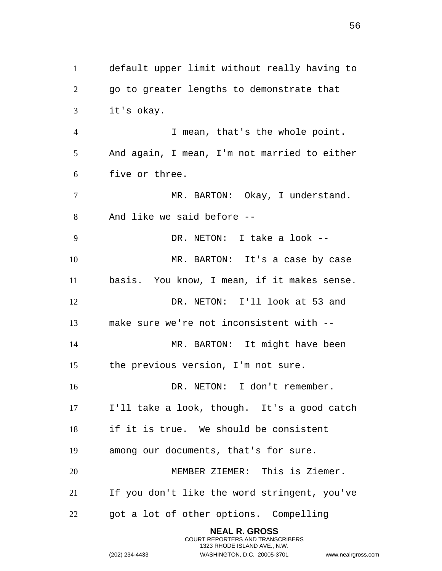default upper limit without really having to go to greater lengths to demonstrate that it's okay. I mean, that's the whole point. And again, I mean, I'm not married to either five or three. MR. BARTON: Okay, I understand. And like we said before -- DR. NETON: I take a look -- MR. BARTON: It's a case by case basis. You know, I mean, if it makes sense. DR. NETON: I'll look at 53 and make sure we're not inconsistent with -- 14 MR. BARTON: It might have been the previous version, I'm not sure. 16 DR. NETON: I don't remember. I'll take a look, though. It's a good catch if it is true. We should be consistent among our documents, that's for sure. MEMBER ZIEMER: This is Ziemer. If you don't like the word stringent, you've got a lot of other options. Compelling

> **NEAL R. GROSS** COURT REPORTERS AND TRANSCRIBERS 1323 RHODE ISLAND AVE., N.W.

(202) 234-4433 WASHINGTON, D.C. 20005-3701 www.nealrgross.com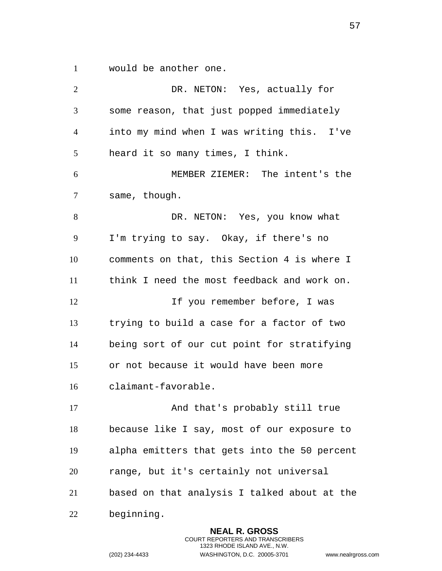would be another one.

 DR. NETON: Yes, actually for some reason, that just popped immediately into my mind when I was writing this. I've heard it so many times, I think. MEMBER ZIEMER: The intent's the same, though. 8 DR. NETON: Yes, you know what I'm trying to say. Okay, if there's no comments on that, this Section 4 is where I think I need the most feedback and work on. 12 12 If you remember before, I was trying to build a case for a factor of two being sort of our cut point for stratifying or not because it would have been more claimant-favorable. 17 And that's probably still true because like I say, most of our exposure to alpha emitters that gets into the 50 percent range, but it's certainly not universal based on that analysis I talked about at the beginning. **NEAL R. GROSS**

> COURT REPORTERS AND TRANSCRIBERS 1323 RHODE ISLAND AVE., N.W.

(202) 234-4433 WASHINGTON, D.C. 20005-3701 www.nealrgross.com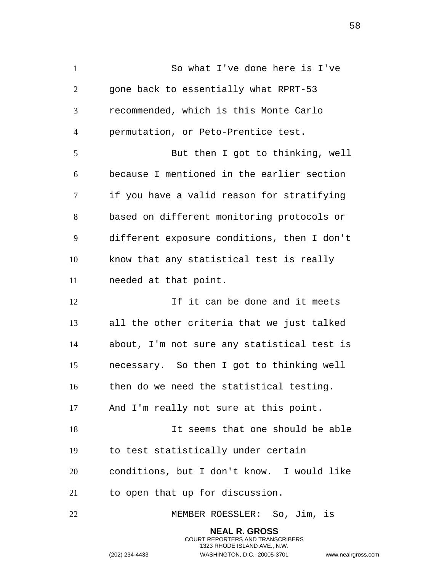So what I've done here is I've gone back to essentially what RPRT-53 recommended, which is this Monte Carlo permutation, or Peto-Prentice test. But then I got to thinking, well because I mentioned in the earlier section if you have a valid reason for stratifying based on different monitoring protocols or different exposure conditions, then I don't know that any statistical test is really needed at that point. 12 11 If it can be done and it meets all the other criteria that we just talked about, I'm not sure any statistical test is necessary. So then I got to thinking well then do we need the statistical testing. And I'm really not sure at this point. It seems that one should be able to test statistically under certain conditions, but I don't know. I would like to open that up for discussion. MEMBER ROESSLER: So, Jim, is **NEAL R. GROSS**

> COURT REPORTERS AND TRANSCRIBERS 1323 RHODE ISLAND AVE., N.W.

(202) 234-4433 WASHINGTON, D.C. 20005-3701 www.nealrgross.com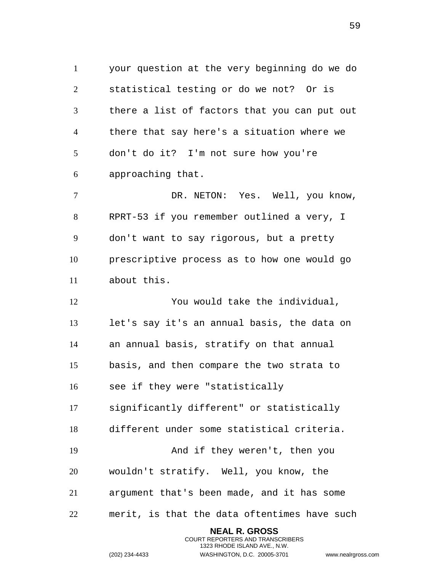your question at the very beginning do we do statistical testing or do we not? Or is there a list of factors that you can put out there that say here's a situation where we don't do it? I'm not sure how you're approaching that.

 DR. NETON: Yes. Well, you know, RPRT-53 if you remember outlined a very, I don't want to say rigorous, but a pretty prescriptive process as to how one would go about this.

 You would take the individual, let's say it's an annual basis, the data on an annual basis, stratify on that annual basis, and then compare the two strata to see if they were "statistically significantly different" or statistically different under some statistical criteria. And if they weren't, then you wouldn't stratify. Well, you know, the argument that's been made, and it has some merit, is that the data oftentimes have such

> **NEAL R. GROSS** COURT REPORTERS AND TRANSCRIBERS 1323 RHODE ISLAND AVE., N.W.

(202) 234-4433 WASHINGTON, D.C. 20005-3701 www.nealrgross.com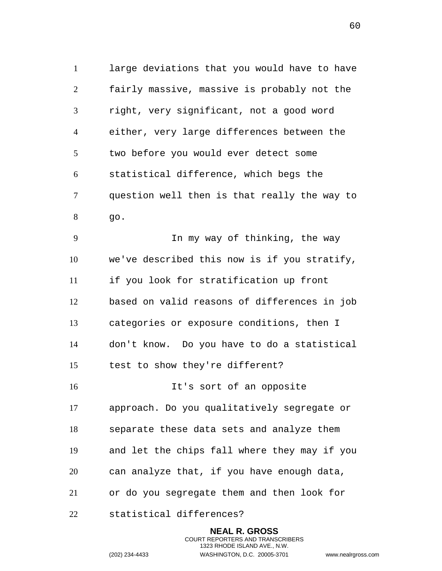large deviations that you would have to have fairly massive, massive is probably not the right, very significant, not a good word either, very large differences between the two before you would ever detect some statistical difference, which begs the question well then is that really the way to go.

 In my way of thinking, the way we've described this now is if you stratify, if you look for stratification up front based on valid reasons of differences in job categories or exposure conditions, then I don't know. Do you have to do a statistical test to show they're different?

 It's sort of an opposite approach. Do you qualitatively segregate or separate these data sets and analyze them and let the chips fall where they may if you can analyze that, if you have enough data, or do you segregate them and then look for

statistical differences?

**NEAL R. GROSS** COURT REPORTERS AND TRANSCRIBERS 1323 RHODE ISLAND AVE., N.W. (202) 234-4433 WASHINGTON, D.C. 20005-3701 www.nealrgross.com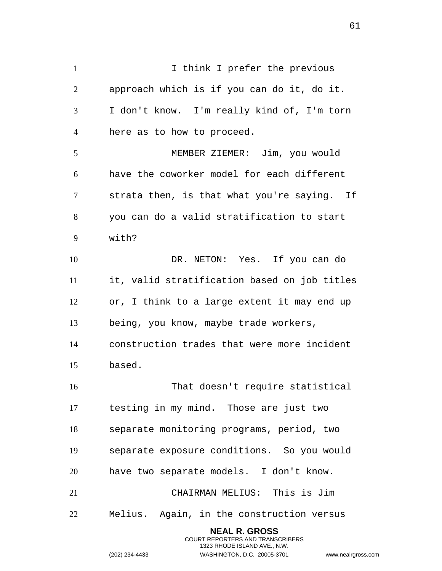1 1 I think I prefer the previous approach which is if you can do it, do it. I don't know. I'm really kind of, I'm torn here as to how to proceed. MEMBER ZIEMER: Jim, you would have the coworker model for each different strata then, is that what you're saying. If you can do a valid stratification to start with? DR. NETON: Yes. If you can do it, valid stratification based on job titles or, I think to a large extent it may end up being, you know, maybe trade workers, construction trades that were more incident based. That doesn't require statistical testing in my mind. Those are just two separate monitoring programs, period, two separate exposure conditions. So you would have two separate models. I don't know. CHAIRMAN MELIUS: This is Jim Melius. Again, in the construction versus **NEAL R. GROSS**

> COURT REPORTERS AND TRANSCRIBERS 1323 RHODE ISLAND AVE., N.W.

(202) 234-4433 WASHINGTON, D.C. 20005-3701 www.nealrgross.com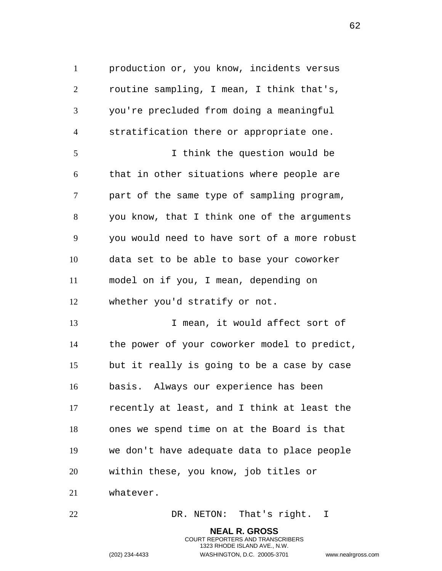production or, you know, incidents versus routine sampling, I mean, I think that's, you're precluded from doing a meaningful stratification there or appropriate one. I think the question would be that in other situations where people are part of the same type of sampling program, you know, that I think one of the arguments you would need to have sort of a more robust data set to be able to base your coworker model on if you, I mean, depending on whether you'd stratify or not. I mean, it would affect sort of the power of your coworker model to predict, but it really is going to be a case by case basis. Always our experience has been recently at least, and I think at least the ones we spend time on at the Board is that we don't have adequate data to place people within these, you know, job titles or whatever.

DR. NETON: That's right. I

**NEAL R. GROSS** COURT REPORTERS AND TRANSCRIBERS 1323 RHODE ISLAND AVE., N.W. (202) 234-4433 WASHINGTON, D.C. 20005-3701 www.nealrgross.com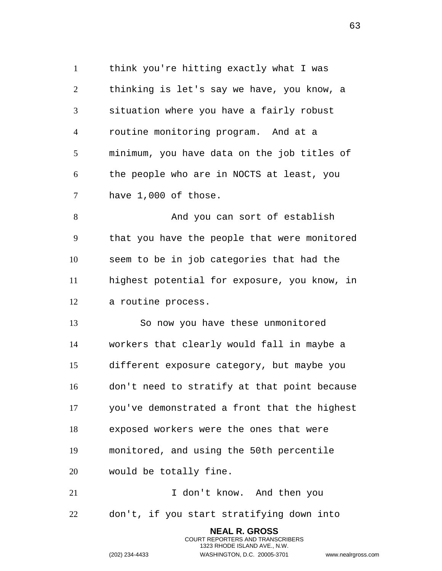think you're hitting exactly what I was thinking is let's say we have, you know, a situation where you have a fairly robust routine monitoring program. And at a minimum, you have data on the job titles of the people who are in NOCTS at least, you have 1,000 of those. 8 And you can sort of establish that you have the people that were monitored seem to be in job categories that had the

 highest potential for exposure, you know, in a routine process.

 So now you have these unmonitored workers that clearly would fall in maybe a different exposure category, but maybe you don't need to stratify at that point because you've demonstrated a front that the highest exposed workers were the ones that were monitored, and using the 50th percentile would be totally fine.

21 I don't know. And then you don't, if you start stratifying down into

> **NEAL R. GROSS** COURT REPORTERS AND TRANSCRIBERS 1323 RHODE ISLAND AVE., N.W.

(202) 234-4433 WASHINGTON, D.C. 20005-3701 www.nealrgross.com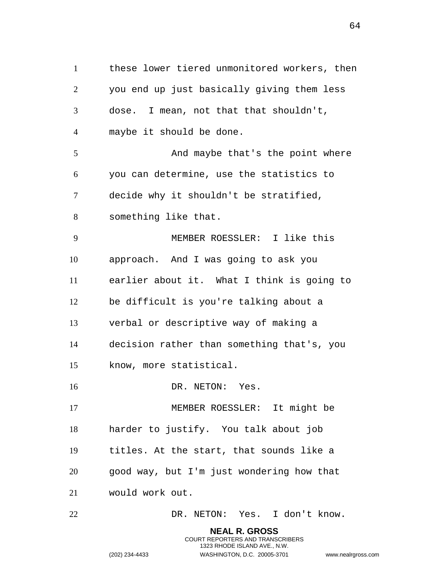these lower tiered unmonitored workers, then you end up just basically giving them less dose. I mean, not that that shouldn't, maybe it should be done. And maybe that's the point where you can determine, use the statistics to decide why it shouldn't be stratified, something like that. MEMBER ROESSLER: I like this approach. And I was going to ask you earlier about it. What I think is going to be difficult is you're talking about a verbal or descriptive way of making a decision rather than something that's, you know, more statistical. 16 DR. NETON: Yes. MEMBER ROESSLER: It might be harder to justify. You talk about job titles. At the start, that sounds like a good way, but I'm just wondering how that would work out. DR. NETON: Yes. I don't know. **NEAL R. GROSS**

> COURT REPORTERS AND TRANSCRIBERS 1323 RHODE ISLAND AVE., N.W.

(202) 234-4433 WASHINGTON, D.C. 20005-3701 www.nealrgross.com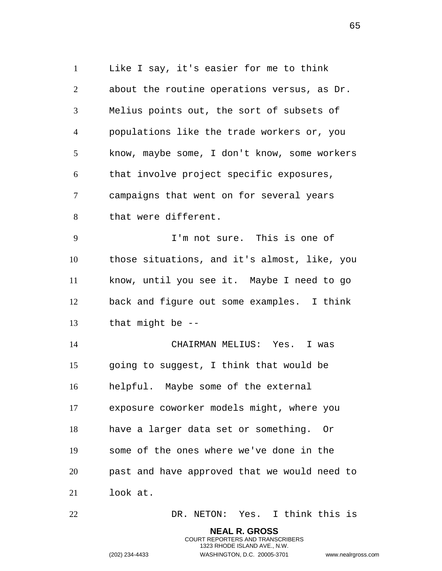Like I say, it's easier for me to think about the routine operations versus, as Dr. Melius points out, the sort of subsets of populations like the trade workers or, you know, maybe some, I don't know, some workers that involve project specific exposures, campaigns that went on for several years that were different. I'm not sure. This is one of those situations, and it's almost, like, you know, until you see it. Maybe I need to go back and figure out some examples. I think that might be -- CHAIRMAN MELIUS: Yes. I was going to suggest, I think that would be helpful. Maybe some of the external exposure coworker models might, where you have a larger data set or something. Or some of the ones where we've done in the past and have approved that we would need to look at. DR. NETON: Yes. I think this is

**NEAL R. GROSS**

1323 RHODE ISLAND AVE., N.W.

COURT REPORTERS AND TRANSCRIBERS

(202) 234-4433 WASHINGTON, D.C. 20005-3701 www.nealrgross.com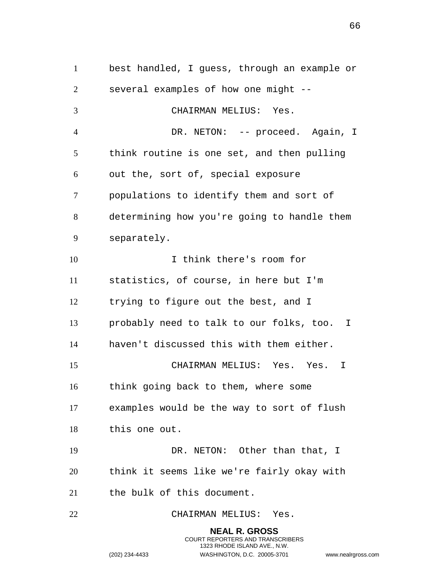best handled, I guess, through an example or several examples of how one might -- CHAIRMAN MELIUS: Yes. 4 DR. NETON: -- proceed. Again, I think routine is one set, and then pulling out the, sort of, special exposure populations to identify them and sort of determining how you're going to handle them separately. I think there's room for statistics, of course, in here but I'm trying to figure out the best, and I probably need to talk to our folks, too. I haven't discussed this with them either. CHAIRMAN MELIUS: Yes. Yes. I think going back to them, where some examples would be the way to sort of flush this one out. 19 DR. NETON: Other than that, I think it seems like we're fairly okay with the bulk of this document. CHAIRMAN MELIUS: Yes.

> **NEAL R. GROSS** COURT REPORTERS AND TRANSCRIBERS 1323 RHODE ISLAND AVE., N.W. (202) 234-4433 WASHINGTON, D.C. 20005-3701 www.nealrgross.com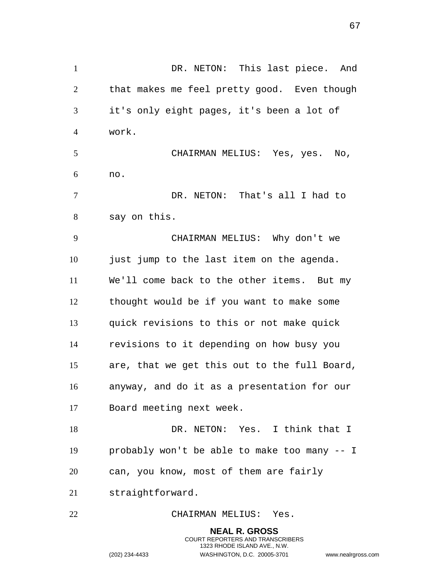DR. NETON: This last piece. And that makes me feel pretty good. Even though it's only eight pages, it's been a lot of work. CHAIRMAN MELIUS: Yes, yes. No, no. DR. NETON: That's all I had to say on this. CHAIRMAN MELIUS: Why don't we just jump to the last item on the agenda. We'll come back to the other items. But my thought would be if you want to make some quick revisions to this or not make quick revisions to it depending on how busy you are, that we get this out to the full Board, anyway, and do it as a presentation for our Board meeting next week. DR. NETON: Yes. I think that I probably won't be able to make too many -- I can, you know, most of them are fairly straightforward. CHAIRMAN MELIUS: Yes. **NEAL R. GROSS**

COURT REPORTERS AND TRANSCRIBERS 1323 RHODE ISLAND AVE., N.W.

(202) 234-4433 WASHINGTON, D.C. 20005-3701 www.nealrgross.com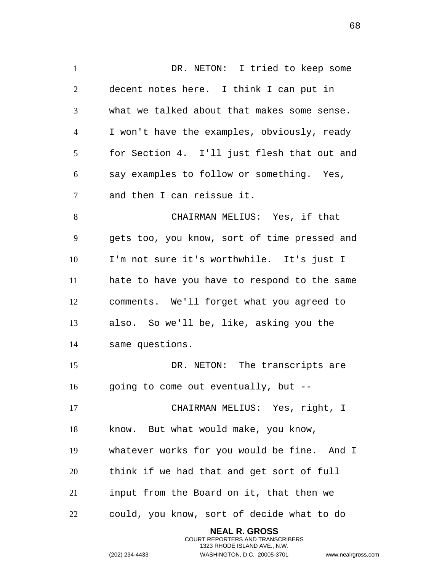DR. NETON: I tried to keep some decent notes here. I think I can put in what we talked about that makes some sense. I won't have the examples, obviously, ready for Section 4. I'll just flesh that out and say examples to follow or something. Yes, and then I can reissue it. CHAIRMAN MELIUS: Yes, if that gets too, you know, sort of time pressed and I'm not sure it's worthwhile. It's just I hate to have you have to respond to the same comments. We'll forget what you agreed to also. So we'll be, like, asking you the same questions. DR. NETON: The transcripts are going to come out eventually, but -- CHAIRMAN MELIUS: Yes, right, I know. But what would make, you know, whatever works for you would be fine. And I think if we had that and get sort of full input from the Board on it, that then we could, you know, sort of decide what to do **NEAL R. GROSS**

> COURT REPORTERS AND TRANSCRIBERS 1323 RHODE ISLAND AVE., N.W.

(202) 234-4433 WASHINGTON, D.C. 20005-3701 www.nealrgross.com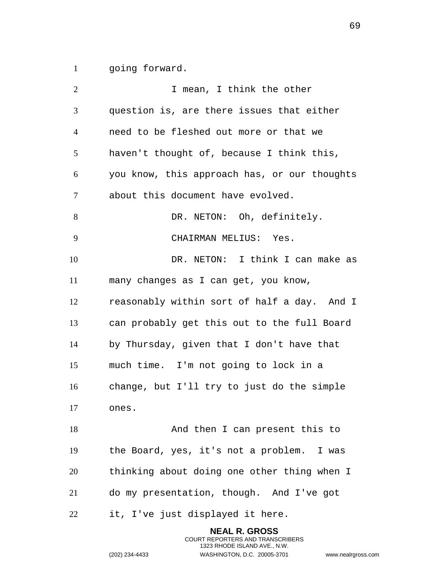going forward.

**I** mean, I think the other question is, are there issues that either need to be fleshed out more or that we haven't thought of, because I think this, you know, this approach has, or our thoughts about this document have evolved. 8 DR. NETON: Oh, definitely. CHAIRMAN MELIUS: Yes. DR. NETON: I think I can make as many changes as I can get, you know, reasonably within sort of half a day. And I can probably get this out to the full Board by Thursday, given that I don't have that much time. I'm not going to lock in a change, but I'll try to just do the simple ones. And then I can present this to the Board, yes, it's not a problem. I was thinking about doing one other thing when I do my presentation, though. And I've got it, I've just displayed it here.

> **NEAL R. GROSS** COURT REPORTERS AND TRANSCRIBERS 1323 RHODE ISLAND AVE., N.W. (202) 234-4433 WASHINGTON, D.C. 20005-3701 www.nealrgross.com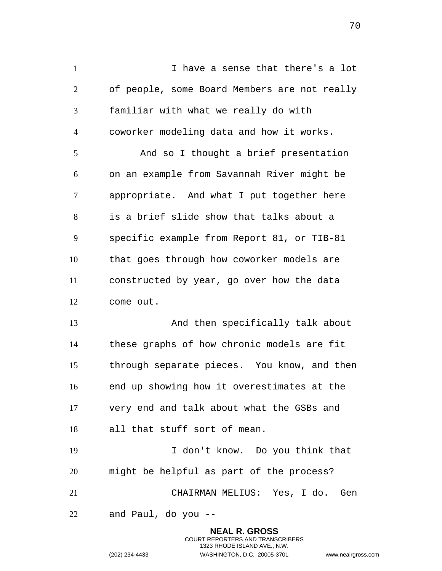I have a sense that there's a lot of people, some Board Members are not really familiar with what we really do with coworker modeling data and how it works. And so I thought a brief presentation on an example from Savannah River might be appropriate. And what I put together here is a brief slide show that talks about a specific example from Report 81, or TIB-81 that goes through how coworker models are constructed by year, go over how the data come out. And then specifically talk about these graphs of how chronic models are fit through separate pieces. You know, and then end up showing how it overestimates at the very end and talk about what the GSBs and all that stuff sort of mean. I don't know. Do you think that might be helpful as part of the process? CHAIRMAN MELIUS: Yes, I do. Gen and Paul, do you --

> **NEAL R. GROSS** COURT REPORTERS AND TRANSCRIBERS 1323 RHODE ISLAND AVE., N.W.

(202) 234-4433 WASHINGTON, D.C. 20005-3701 www.nealrgross.com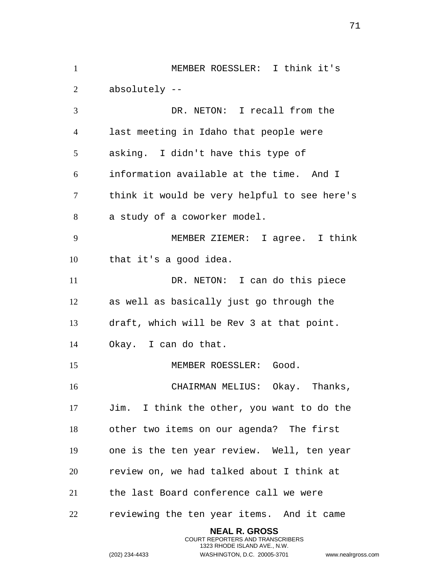MEMBER ROESSLER: I think it's absolutely -- DR. NETON: I recall from the last meeting in Idaho that people were asking. I didn't have this type of information available at the time. And I think it would be very helpful to see here's a study of a coworker model. MEMBER ZIEMER: I agree. I think that it's a good idea. DR. NETON: I can do this piece as well as basically just go through the draft, which will be Rev 3 at that point. Okay. I can do that. 15 MEMBER ROESSLER: Good. CHAIRMAN MELIUS: Okay. Thanks, Jim. I think the other, you want to do the other two items on our agenda? The first one is the ten year review. Well, ten year review on, we had talked about I think at the last Board conference call we were reviewing the ten year items. And it came **NEAL R. GROSS**

> COURT REPORTERS AND TRANSCRIBERS 1323 RHODE ISLAND AVE., N.W.

(202) 234-4433 WASHINGTON, D.C. 20005-3701 www.nealrgross.com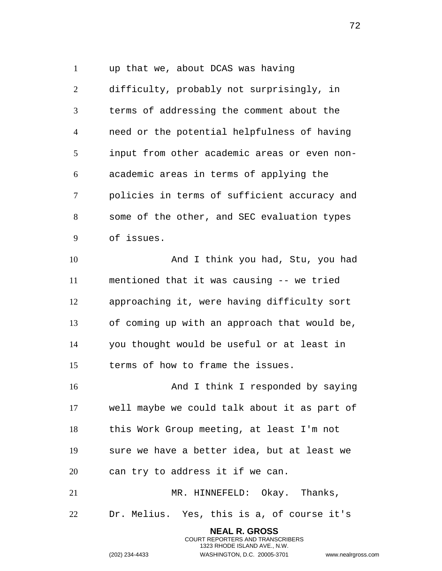up that we, about DCAS was having

 difficulty, probably not surprisingly, in terms of addressing the comment about the need or the potential helpfulness of having input from other academic areas or even non- academic areas in terms of applying the policies in terms of sufficient accuracy and some of the other, and SEC evaluation types of issues.

 And I think you had, Stu, you had mentioned that it was causing -- we tried approaching it, were having difficulty sort of coming up with an approach that would be, you thought would be useful or at least in terms of how to frame the issues.

16 And I think I responded by saying well maybe we could talk about it as part of this Work Group meeting, at least I'm not sure we have a better idea, but at least we can try to address it if we can.

21 MR. HINNEFELD: Okay. Thanks, Dr. Melius. Yes, this is a, of course it's

> **NEAL R. GROSS** COURT REPORTERS AND TRANSCRIBERS 1323 RHODE ISLAND AVE., N.W.

(202) 234-4433 WASHINGTON, D.C. 20005-3701 www.nealrgross.com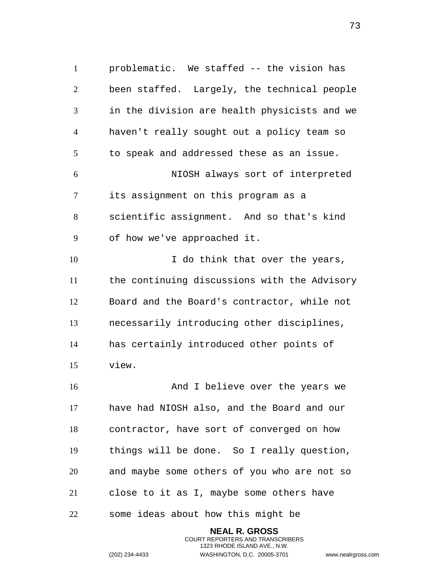problematic. We staffed -- the vision has been staffed. Largely, the technical people in the division are health physicists and we haven't really sought out a policy team so to speak and addressed these as an issue. NIOSH always sort of interpreted its assignment on this program as a scientific assignment. And so that's kind of how we've approached it. 10 10 I do think that over the years, the continuing discussions with the Advisory Board and the Board's contractor, while not necessarily introducing other disciplines, has certainly introduced other points of view. 16 And I believe over the years we have had NIOSH also, and the Board and our contractor, have sort of converged on how things will be done. So I really question, and maybe some others of you who are not so close to it as I, maybe some others have

some ideas about how this might be

**NEAL R. GROSS** COURT REPORTERS AND TRANSCRIBERS 1323 RHODE ISLAND AVE., N.W. (202) 234-4433 WASHINGTON, D.C. 20005-3701 www.nealrgross.com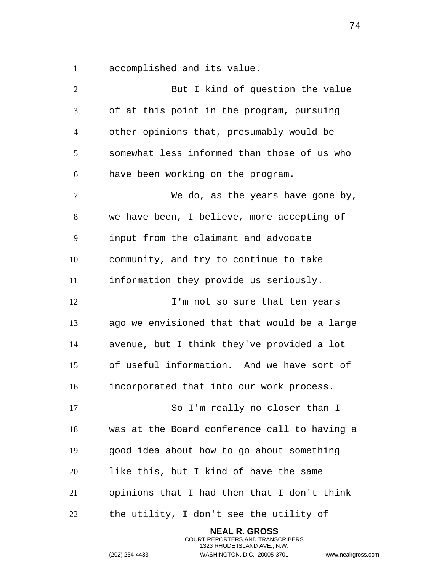accomplished and its value.

| $\overline{2}$ | But I kind of question the value             |
|----------------|----------------------------------------------|
| $\mathfrak{Z}$ | of at this point in the program, pursuing    |
| $\overline{4}$ | other opinions that, presumably would be     |
| 5              | somewhat less informed than those of us who  |
| 6              | have been working on the program.            |
| 7              | We do, as the years have gone by,            |
| 8              | we have been, I believe, more accepting of   |
| 9              | input from the claimant and advocate         |
| 10             | community, and try to continue to take       |
| 11             | information they provide us seriously.       |
| 12             | I'm not so sure that ten years               |
| 13             | ago we envisioned that that would be a large |
| 14             | avenue, but I think they've provided a lot   |
| 15             | of useful information. And we have sort of   |
| 16             | incorporated that into our work process.     |
| 17             | So I'm really no closer than I               |
| 18             | was at the Board conference call to having a |
| 19             | good idea about how to go about something    |
| 20             | like this, but I kind of have the same       |
| 21             | opinions that I had then that I don't think  |
| 22             | the utility, I don't see the utility of      |

**NEAL R. GROSS** COURT REPORTERS AND TRANSCRIBERS 1323 RHODE ISLAND AVE., N.W.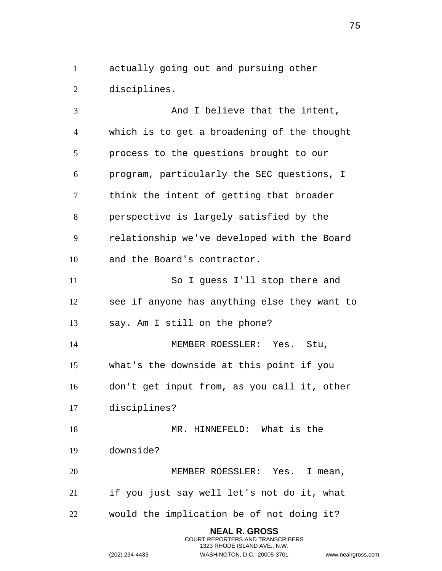actually going out and pursuing other disciplines.

3 And I believe that the intent, which is to get a broadening of the thought process to the questions brought to our program, particularly the SEC questions, I think the intent of getting that broader perspective is largely satisfied by the relationship we've developed with the Board and the Board's contractor. So I guess I'll stop there and see if anyone has anything else they want to say. Am I still on the phone? MEMBER ROESSLER: Yes. Stu, what's the downside at this point if you don't get input from, as you call it, other disciplines? MR. HINNEFELD: What is the downside? MEMBER ROESSLER: Yes. I mean, if you just say well let's not do it, what would the implication be of not doing it? **NEAL R. GROSS**

> COURT REPORTERS AND TRANSCRIBERS 1323 RHODE ISLAND AVE., N.W.

(202) 234-4433 WASHINGTON, D.C. 20005-3701 www.nealrgross.com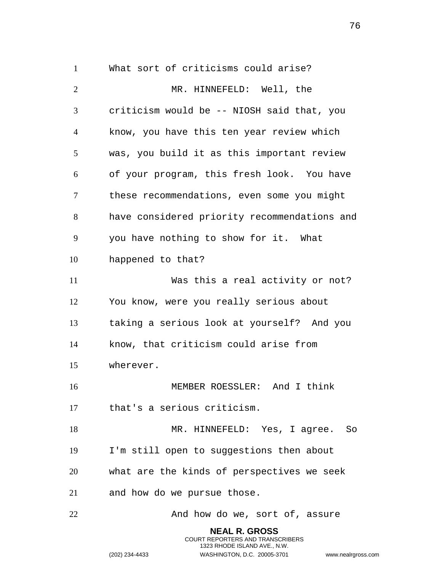What sort of criticisms could arise? MR. HINNEFELD: Well, the criticism would be -- NIOSH said that, you know, you have this ten year review which was, you build it as this important review of your program, this fresh look. You have these recommendations, even some you might have considered priority recommendations and you have nothing to show for it. What happened to that? Was this a real activity or not? You know, were you really serious about taking a serious look at yourself? And you know, that criticism could arise from wherever. MEMBER ROESSLER: And I think that's a serious criticism. MR. HINNEFELD: Yes, I agree. So I'm still open to suggestions then about what are the kinds of perspectives we seek and how do we pursue those. 22 And how do we, sort of, assure **NEAL R. GROSS**

> COURT REPORTERS AND TRANSCRIBERS 1323 RHODE ISLAND AVE., N.W.

(202) 234-4433 WASHINGTON, D.C. 20005-3701 www.nealrgross.com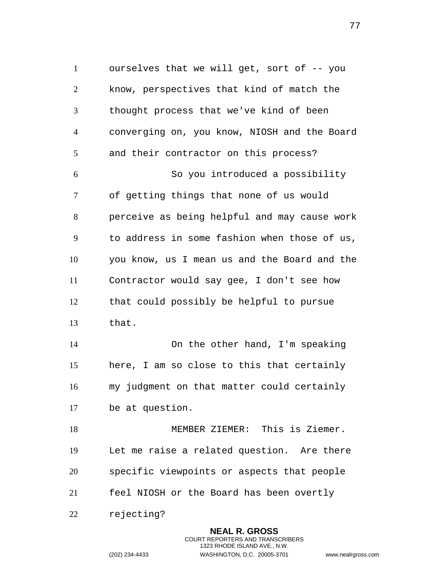ourselves that we will get, sort of -- you know, perspectives that kind of match the thought process that we've kind of been converging on, you know, NIOSH and the Board and their contractor on this process? So you introduced a possibility of getting things that none of us would perceive as being helpful and may cause work to address in some fashion when those of us, you know, us I mean us and the Board and the Contractor would say gee, I don't see how that could possibly be helpful to pursue that. On the other hand, I'm speaking here, I am so close to this that certainly my judgment on that matter could certainly be at question. MEMBER ZIEMER: This is Ziemer. Let me raise a related question. Are there specific viewpoints or aspects that people

feel NIOSH or the Board has been overtly

rejecting?

**NEAL R. GROSS** COURT REPORTERS AND TRANSCRIBERS 1323 RHODE ISLAND AVE., N.W. (202) 234-4433 WASHINGTON, D.C. 20005-3701 www.nealrgross.com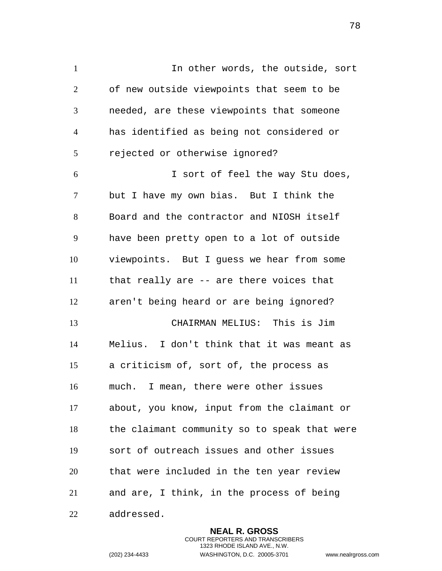In other words, the outside, sort of new outside viewpoints that seem to be needed, are these viewpoints that someone has identified as being not considered or rejected or otherwise ignored? I sort of feel the way Stu does, but I have my own bias. But I think the Board and the contractor and NIOSH itself have been pretty open to a lot of outside viewpoints. But I guess we hear from some that really are -- are there voices that aren't being heard or are being ignored? CHAIRMAN MELIUS: This is Jim Melius. I don't think that it was meant as a criticism of, sort of, the process as much. I mean, there were other issues

 about, you know, input from the claimant or the claimant community so to speak that were sort of outreach issues and other issues that were included in the ten year review and are, I think, in the process of being addressed.

> **NEAL R. GROSS** COURT REPORTERS AND TRANSCRIBERS 1323 RHODE ISLAND AVE., N.W. (202) 234-4433 WASHINGTON, D.C. 20005-3701 www.nealrgross.com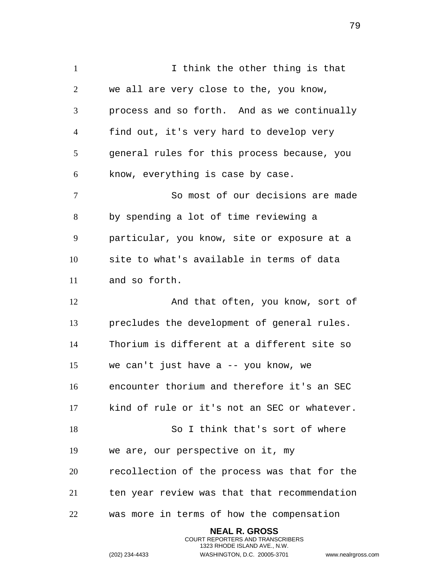I think the other thing is that we all are very close to the, you know, process and so forth. And as we continually find out, it's very hard to develop very general rules for this process because, you know, everything is case by case. So most of our decisions are made by spending a lot of time reviewing a particular, you know, site or exposure at a site to what's available in terms of data and so forth. 12 And that often, you know, sort of precludes the development of general rules. Thorium is different at a different site so we can't just have a -- you know, we encounter thorium and therefore it's an SEC kind of rule or it's not an SEC or whatever. So I think that's sort of where we are, our perspective on it, my recollection of the process was that for the ten year review was that that recommendation was more in terms of how the compensation

> **NEAL R. GROSS** COURT REPORTERS AND TRANSCRIBERS 1323 RHODE ISLAND AVE., N.W.

(202) 234-4433 WASHINGTON, D.C. 20005-3701 www.nealrgross.com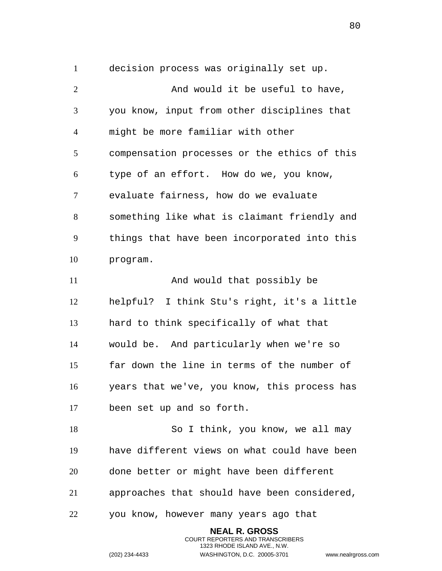decision process was originally set up.

2 And would it be useful to have, you know, input from other disciplines that might be more familiar with other compensation processes or the ethics of this type of an effort. How do we, you know, evaluate fairness, how do we evaluate something like what is claimant friendly and things that have been incorporated into this program. 11 And would that possibly be helpful? I think Stu's right, it's a little hard to think specifically of what that would be. And particularly when we're so far down the line in terms of the number of years that we've, you know, this process has been set up and so forth. 18 So I think, you know, we all may have different views on what could have been done better or might have been different approaches that should have been considered, you know, however many years ago that

> **NEAL R. GROSS** COURT REPORTERS AND TRANSCRIBERS 1323 RHODE ISLAND AVE., N.W.

(202) 234-4433 WASHINGTON, D.C. 20005-3701 www.nealrgross.com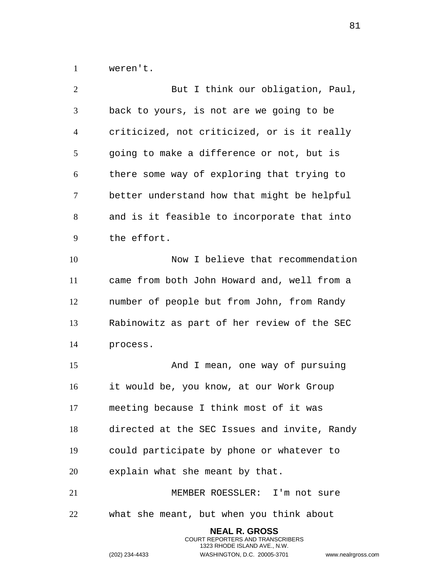weren't.

| $\overline{2}$ | But I think our obligation, Paul,            |
|----------------|----------------------------------------------|
| 3              | back to yours, is not are we going to be     |
| 4              | criticized, not criticized, or is it really  |
| 5              | going to make a difference or not, but is    |
| 6              | there some way of exploring that trying to   |
| 7              | better understand how that might be helpful  |
| 8              | and is it feasible to incorporate that into  |
| 9              | the effort.                                  |
| 10             | Now I believe that recommendation            |
| 11             | came from both John Howard and, well from a  |
| 12             | number of people but from John, from Randy   |
| 13             | Rabinowitz as part of her review of the SEC  |
| 14             | process.                                     |
| 15             | And I mean, one way of pursuing              |
| 16             | it would be, you know, at our Work Group     |
| 17             | meeting because I think most of it was       |
| 18             | directed at the SEC Issues and invite, Randy |
| 19             | could participate by phone or whatever to    |
| 20             | explain what she meant by that.              |
| 21             | MEMBER ROESSLER: I'm not sure                |
| 22             | what she meant, but when you think about     |
|                | <b>NEAL R. GROSS</b>                         |

COURT REPORTERS AND TRANSCRIBERS 1323 RHODE ISLAND AVE., N.W.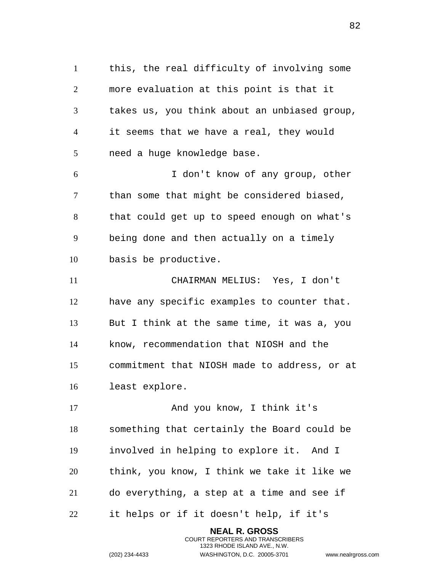this, the real difficulty of involving some more evaluation at this point is that it takes us, you think about an unbiased group, it seems that we have a real, they would need a huge knowledge base. I don't know of any group, other than some that might be considered biased, that could get up to speed enough on what's being done and then actually on a timely basis be productive. CHAIRMAN MELIUS: Yes, I don't have any specific examples to counter that. But I think at the same time, it was a, you know, recommendation that NIOSH and the commitment that NIOSH made to address, or at least explore. 17 And you know, I think it's something that certainly the Board could be involved in helping to explore it. And I think, you know, I think we take it like we do everything, a step at a time and see if it helps or if it doesn't help, if it's

> **NEAL R. GROSS** COURT REPORTERS AND TRANSCRIBERS 1323 RHODE ISLAND AVE., N.W.

(202) 234-4433 WASHINGTON, D.C. 20005-3701 www.nealrgross.com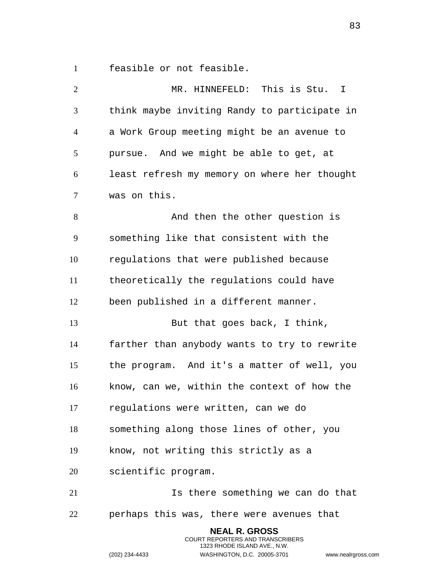feasible or not feasible.

| $\overline{2}$ | MR. HINNEFELD: This is Stu. I                |
|----------------|----------------------------------------------|
| 3              | think maybe inviting Randy to participate in |
| $\overline{4}$ | a Work Group meeting might be an avenue to   |
| 5              | pursue. And we might be able to get, at      |
| 6              | least refresh my memory on where her thought |
| $\tau$         | was on this.                                 |
| 8              | And then the other question is               |
| 9              | something like that consistent with the      |
| 10             | regulations that were published because      |
| 11             | theoretically the regulations could have     |
| 12             | been published in a different manner.        |
| 13             | But that goes back, I think,                 |
| 14             | farther than anybody wants to try to rewrite |
| 15             | the program. And it's a matter of well, you  |
| 16             | know, can we, within the context of how the  |
| 17             | regulations were written, can we do          |
| 18             | something along those lines of other, you    |
| 19             | know, not writing this strictly as a         |
| 20             | scientific program.                          |
| 21             | Is there something we can do that            |
| 22             | perhaps this was, there were avenues that    |
|                | <b>NEAL R. GROSS</b>                         |

COURT REPORTERS AND TRANSCRIBERS 1323 RHODE ISLAND AVE., N.W.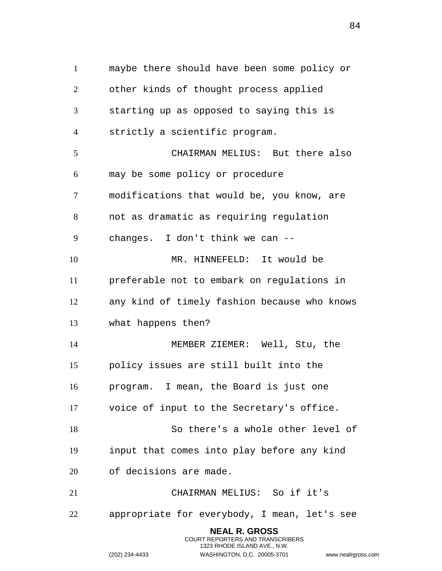maybe there should have been some policy or other kinds of thought process applied starting up as opposed to saying this is strictly a scientific program. CHAIRMAN MELIUS: But there also may be some policy or procedure modifications that would be, you know, are not as dramatic as requiring regulation changes. I don't think we can -- MR. HINNEFELD: It would be preferable not to embark on regulations in any kind of timely fashion because who knows what happens then? MEMBER ZIEMER: Well, Stu, the policy issues are still built into the program. I mean, the Board is just one voice of input to the Secretary's office. So there's a whole other level of input that comes into play before any kind of decisions are made. CHAIRMAN MELIUS: So if it's appropriate for everybody, I mean, let's see **NEAL R. GROSS** COURT REPORTERS AND TRANSCRIBERS

1323 RHODE ISLAND AVE., N.W.

(202) 234-4433 WASHINGTON, D.C. 20005-3701 www.nealrgross.com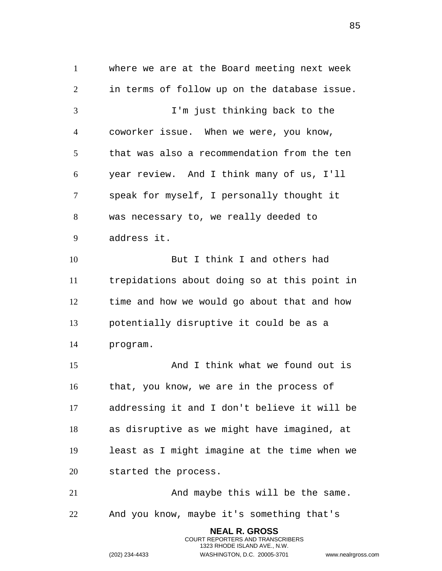where we are at the Board meeting next week in terms of follow up on the database issue. I'm just thinking back to the coworker issue. When we were, you know, that was also a recommendation from the ten year review. And I think many of us, I'll speak for myself, I personally thought it was necessary to, we really deeded to address it. But I think I and others had trepidations about doing so at this point in time and how we would go about that and how potentially disruptive it could be as a program. And I think what we found out is that, you know, we are in the process of addressing it and I don't believe it will be as disruptive as we might have imagined, at least as I might imagine at the time when we started the process. And maybe this will be the same. And you know, maybe it's something that's

> **NEAL R. GROSS** COURT REPORTERS AND TRANSCRIBERS 1323 RHODE ISLAND AVE., N.W.

(202) 234-4433 WASHINGTON, D.C. 20005-3701 www.nealrgross.com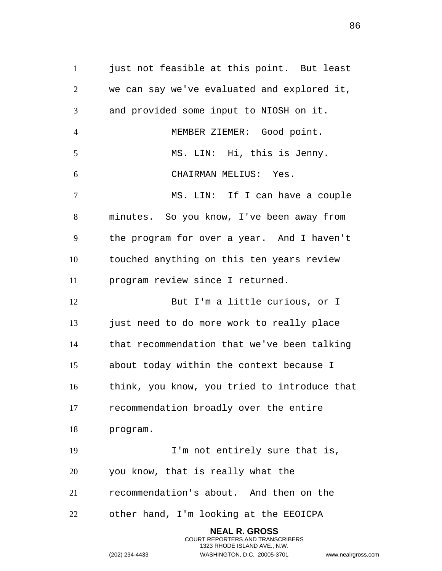1 just not feasible at this point. But least we can say we've evaluated and explored it, and provided some input to NIOSH on it. MEMBER ZIEMER: Good point. MS. LIN: Hi, this is Jenny. CHAIRMAN MELIUS: Yes. MS. LIN: If I can have a couple minutes. So you know, I've been away from the program for over a year. And I haven't touched anything on this ten years review program review since I returned. 12 But I'm a little curious, or I 13 just need to do more work to really place that recommendation that we've been talking about today within the context because I think, you know, you tried to introduce that recommendation broadly over the entire program. I'm not entirely sure that is, you know, that is really what the recommendation's about. And then on the other hand, I'm looking at the EEOICPA **NEAL R. GROSS**

> COURT REPORTERS AND TRANSCRIBERS 1323 RHODE ISLAND AVE., N.W.

(202) 234-4433 WASHINGTON, D.C. 20005-3701 www.nealrgross.com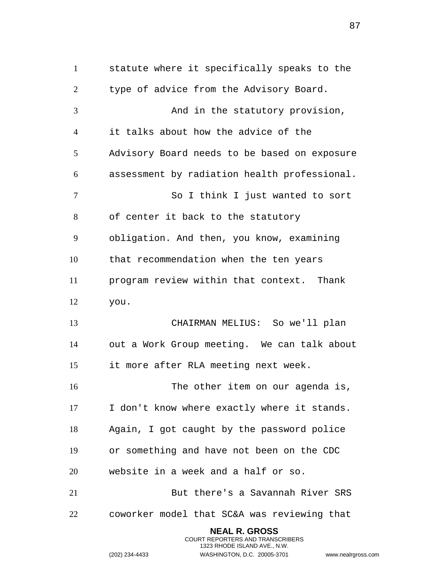statute where it specifically speaks to the type of advice from the Advisory Board. 3 And in the statutory provision, it talks about how the advice of the Advisory Board needs to be based on exposure assessment by radiation health professional. So I think I just wanted to sort of center it back to the statutory obligation. And then, you know, examining that recommendation when the ten years program review within that context. Thank you. CHAIRMAN MELIUS: So we'll plan out a Work Group meeting. We can talk about it more after RLA meeting next week. The other item on our agenda is, I don't know where exactly where it stands. Again, I got caught by the password police or something and have not been on the CDC website in a week and a half or so. But there's a Savannah River SRS coworker model that SC&A was reviewing that **NEAL R. GROSS**

> COURT REPORTERS AND TRANSCRIBERS 1323 RHODE ISLAND AVE., N.W.

(202) 234-4433 WASHINGTON, D.C. 20005-3701 www.nealrgross.com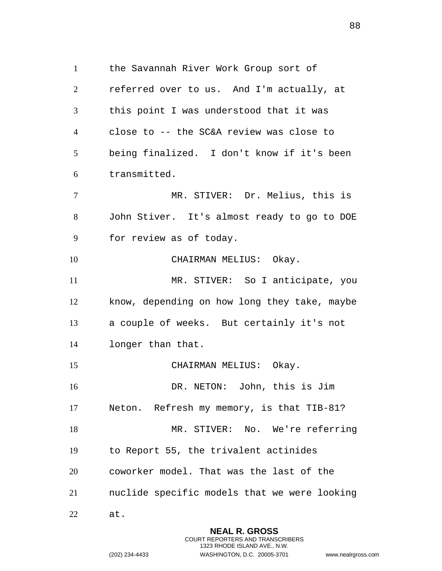the Savannah River Work Group sort of referred over to us. And I'm actually, at this point I was understood that it was close to -- the SC&A review was close to being finalized. I don't know if it's been transmitted. MR. STIVER: Dr. Melius, this is John Stiver. It's almost ready to go to DOE for review as of today. 10 CHAIRMAN MELIUS: Okay. 11 MR. STIVER: So I anticipate, you know, depending on how long they take, maybe a couple of weeks. But certainly it's not longer than that. CHAIRMAN MELIUS: Okay. DR. NETON: John, this is Jim Neton. Refresh my memory, is that TIB-81? 18 MR. STIVER: No. We're referring to Report 55, the trivalent actinides coworker model. That was the last of the nuclide specific models that we were looking at.

> **NEAL R. GROSS** COURT REPORTERS AND TRANSCRIBERS 1323 RHODE ISLAND AVE., N.W.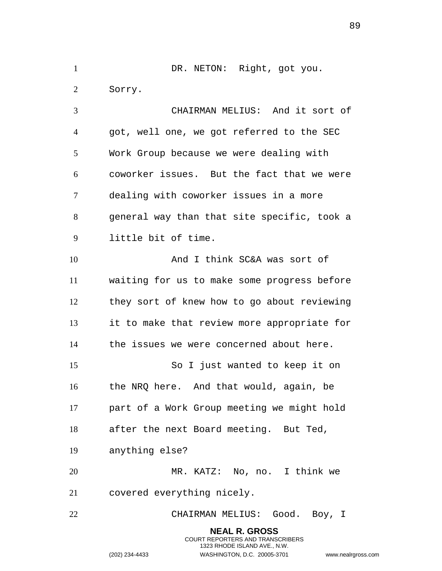1 DR. NETON: Right, got you. Sorry. CHAIRMAN MELIUS: And it sort of got, well one, we got referred to the SEC

Work Group because we were dealing with

 coworker issues. But the fact that we were dealing with coworker issues in a more general way than that site specific, took a little bit of time.

 And I think SC&A was sort of waiting for us to make some progress before they sort of knew how to go about reviewing it to make that review more appropriate for the issues we were concerned about here.

 So I just wanted to keep it on the NRQ here. And that would, again, be part of a Work Group meeting we might hold after the next Board meeting. But Ted,

anything else?

 MR. KATZ: No, no. I think we covered everything nicely.

CHAIRMAN MELIUS: Good. Boy, I

**NEAL R. GROSS** COURT REPORTERS AND TRANSCRIBERS 1323 RHODE ISLAND AVE., N.W. (202) 234-4433 WASHINGTON, D.C. 20005-3701 www.nealrgross.com